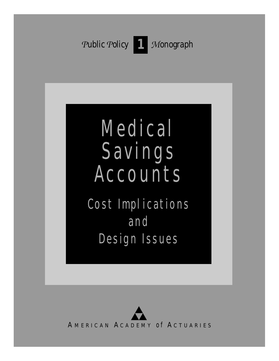

# Medical Savings **Accounts**

Cost Implications and Design Issues

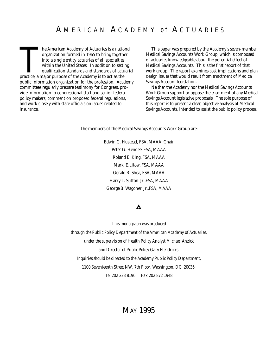The American Academy of Actuaries is a nation organization formed in 1965 to bring togeth into a single entity actuaries of all specialties within the United States. In addition to settiqualification standards and standard he American Academy of Actuaries is a national organization formed in 1965 to bring together into a single entity actuaries of all specialties within the United States. In addition to setting qualification standards and standards of actuarial public information organization for the profession. Academy committees regularly prepare testimony for Congress, provide information to congressional staff and senior federal policy makers, comment on proposed federal regulations, and work closely with state officials on issues related to insurance.

This paper was prepared by the Academy's seven-member Medical Savings Accounts Work Group, which is composed of actuaries knowledgeable about the potential effect of Medical Savings Accounts. This is the first report of that work group. The report examines cost implications and plan design issues that would result from enactment of Medical Savings Account legislation.

Neither the Academy nor the Medical Savings Accounts Work Group support or oppose the enactment of any Medical Savings Account legislative proposals. The sole purpose of this report is to present a clear, objective analysis of Medical Savings Accounts, intended to assist the public policy process.

The members of the Medical Savings Accounts Work Group are:

Edwin C. Hustead, FSA, MAAA, Chair Peter G. Hendee, FSA, MAAA Roland E. King, FSA, MAAA Mark E.Litow, FSA, MAAA Gerald R. Shea, FSA, MAAA Harry L. Sutton Jr.,FSA, MAAA George B. Wagoner Jr.,FSA, MAAA

#### Α

*This monograph was produced through the Public Policy Department of the American Academy of Actuaries, under the supervision of Health Policy Analyst Michael Anzick and Director of Public Policy Gary Hendricks. Inquiries should be directed to the Academy Public Policy Department, 1100 Seventeenth Street NW, 7th Floor, Washington, DC 20036. Tel 202 223 8196 Fax 202 872 1948*

# MAY 1995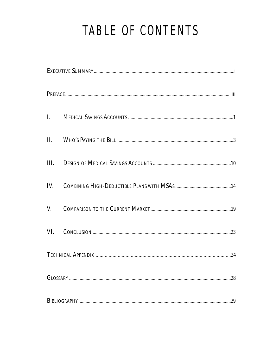# TABLE OF CONTENTS

| II.  |  |
|------|--|
| III. |  |
| IV.  |  |
| V.   |  |
| VI.  |  |
|      |  |
|      |  |
|      |  |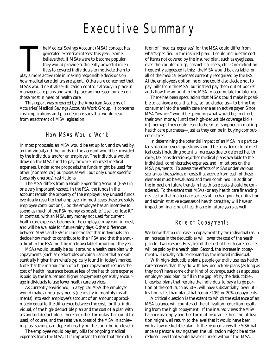# Executive Summary

The Medical Savings Account (MSA) concept h<br>generated extensive interest this year. Some<br>believe that, if MSAs were to become popular,<br>they would provide sufficiently powerful ince<br>tives to covered individuals to motivate he Medical Savings Account (MSA) concept has generated extensive interest this year. Some believe that, if MSAs were to become popular, they would provide sufficiently powerful incentives to covered individuals to motivate them to how medical care dollars are spent. Others are concerned that MSAs would neutralize utilization controls already in place in managed care plans and would place an increased burden on those most in need of health care.

This report was prepared by the American Academy of Actuaries' Medical Savings Accounts Work Group. It concerns cost implications and plan design issues that would result from enactment of MSA legislation.

### How MSAs Would Work

In most proposals, an MSA would be set up for, and owned by, an individual,and the funds in the account would be provided by the individual and/or an employer. The individual would draw on the MSA fund to pay for unreimbursed medical expenses. Under some proposals,the funds might be used for other (nonmedical) purposes as well, but only under specific (possibly onerous) restrictions.

The MSA differs from a Flexible Spending Account (FSA) in one very important respect. In the FSA, the funds in the account remain the property of the employer; any unused funds eventually revert to that employer (in most cases these are solely employee contributions). So the employee has an incentive to spend as much of the FSA money as possible: "Use it or lose it." In contrast, with an MSA, any money not used for current health care expenses belongs to the employee, may earn interest, and will be available for future rainy days. Other differences between MSAs and FSAs include the fact that individuals can decide how much to contribute to their FSA and that the annual limit in the FSA must be made available throughout the year.

MSAs would usually be built around a health care plan with copayments (such as deductibles or coinsurance) that are substantially higher than what's typically found in today's market. Note that the introduction of a higher copayment reduces the cost of health insurance because less of the health care expense is paid by the insurer and higher copayments generally encourage individuals to use fewer health care services.

As currently envisioned, in a typical MSA,the employer would make annual payments (generally in monthly installments) into each employee's account of an amount approximately equal to the difference between the cost, for that individual, of the high-deductible plan and the cost of a plan with a standard deductible. (There are other formulas that could be used, of course, and the relative success of the MSA in achieving cost savings can depend greatly on the contribution level.)

The employee would pay any bills for ongoing medical expenses from the MSA. It is important to note that the definition of "medical expenses" for the MSA could differ from what's specified in the insured plan. It could include the cost of items not covered by the insured plan, such as eyeglasses, over-the-counter drugs, cosmetic surgery, etc. One definition frequently suggested is this: the MSA would be available for all of the medical expenses currently recognized by the IRS. At the employee's option, he or she could also decide not to pay bills from the MSA, but instead pay them out of pocket and allow the amount in the MSA to accumulate for later use.

There has been speculation that MSAs could make it possible to achieve a goal that has, so far, eluded us—to bring the consumer into the health care arena as an active payer. Since MSA "owners" would be spending what would be, in effect, their own money (until the high-deductible coverage kicks in), perhaps they could learn to be smart shoppers in making health care purchases—just as they can be in buying computers or tires.

In determining the potential impact of an MSA in a particular situation, several questions should be considered: total medical costs (including potential increases due to deferred health care), tax considerations, other medical plans available to the individual, administrative expenses, and limitations on the MSA payments. To assess the effects of MSAs under various scenarios, the savings or costs that accrue from each of these elements must be evaluated and then combined. In addition, the impact on future trends in health care costs should be considered. To the extent that MSAs (or any health care financing device, for that matter) are successful in changing the utilization and administrative expenses of health care, they will have an impact on financing of health care in future years as well.

# Role of Copayments

We know that an increase in copayments by the individual (as in an increase in the deductible) will lower the cost of the health plan for two reasons. First, less of the cost of health care services will be paid by the health plan. Second, the increase in copayment will usually reduce demand by the insured individual.

With high-deductible plans, people generally use less health care services than they do with low-deductible plans (as long as they don't have some other kind of coverage, such as a spouse's employer-paid plan, to fill in the gap left by the deductible). Likewise, plans that require the individual to pay a large portion of the cost, such as 50%, will have substantially lower utilization rates than plans that require 10% or 20% copayments.

A critical question is the extent to which the existence of an MSA balance will counteract the utilization reduction resulting from the high copayment. If the insured views the MSA balance as simply another form of insurance,then the utilization might well return to the level that it would have been with a low deductible plan. If the insured views the MSA balance as personal savings,then the utilization might be at the reduced level that would have occurred without the MSA.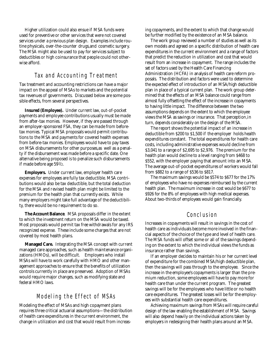Higher utilization could also ensue if MSA funds were used for preventive or other services that were not covered services under a previous plan design. Examples include routine physicals, over-the-counter drugs,and cosmetic surgery. The MSA might also be used to pay for services subject to deductibles or high coinsurance that people could not otherwise afford.

# Tax and Accounting Treatment

Tax treatment and accounting restrictions can have a major impact on the appeal of MSAs to markets and the potential tax revenues of governments. Discussed below are some possible effects, from several perspectives.

**Insured (Employee).** Under current law, out-of-pocket payments and employee contributions usually must be made from after-tax monies. However, if they are passed through an employer-sponsored FSA, they can be made from beforetax monies. Typical MSA proposals would permit contributions to the MSA and payments for covered health expenses from before-tax monies. Employees would have to pay taxes on MSA disbursements for other purposes,as well as a penalty if the disbursement was made before a specific date. One alternative being proposed is to penalize such disbursements if made before age  $59^{1/2}$ .

**Employers.** Under current law, employer health care expenses for employees are fully tax deductible. MSA contributions would also be tax deductible, but the total deduction for the MSA and revised health plan might be limited to the premium for the health plan that currently exists. While many employers might take full advantage of the deductibility, there would be no requirement to do so.

**The Account Balance**. MSA proposals differ in the extent to which the investment return on the MSA would be taxed. Most proposals would permit tax free withdrawals for any IRS recognized expense. These include some charges that are not covered by most health plans.

**Managed Care.** Integrating the MSA concept with current managed care approaches, such as health maintenance organizations (HMOs), will be difficult. Employers who install MSAs will have to work carefully with HMO and other management approaches to ensure that the benefits of utilization controls currently in place are preserved. Adoption of MSAs would require major changes, such as modifying state and federal HMO laws.

# Modeling the Effect of MSAs

Modeling the effect of MSAs and high copayment plans requires three critical actuarial assumptions—the distribution of health care expenditures in the current environment, the change in utilization and cost that would result from increasing copayments, and the extent to which that change would be further modified by the existence of an MSA balance.

The work group reviewed a number of studies as well as its own models and agreed on a specific distribution of health care expenditures in the current environment and a range of factors that predict the reduction in utilization and cost that would result from an increase in copayment. The range includes the set of factors used by the Health Care Financing Administration (HCFA) in analysis of health care reform proposals. The distribution and factors were used to determine the expected effect of introduction of an MSA/high deductible plan in place of a typical current plan. The work group determined that the effects of an MSA balance could range from almost fully offsetting the effect of the increase in copayments to having little impact. The difference between the two assumptions depends on the extent to which the employee views the MSA as savings or insurance. That perception, in turn, depends considerably on the design of the MSA.

The report shows the potential impact of an increase in deductible from \$200 to \$1,500 if the employer holds health expenditures constant. The total expenditures for health care costs, including administrative expenses would decline from \$3,041 to a range of \$2,695 to \$2,976. The premium for the health plan would decline to a level ranging from \$468 to \$552, with the employer paying that amount into an MSA. The average out-of-pocket expenditures of workers would fall from \$882 to a range of \$536 to \$817.

The maximum savings would be \$574 to \$677 for the 17% of employees who have no expenses reimbursed by the current health plan. The maximum increase in cost would be \$677 to  $$926$  for the  $8\%$  of employees with high medical expenses. About two-thirds of employees would gain financially.

## Conclusion

Increases in copayments will result in savings in the cost of health care as individuals become more involved in the financial aspects of the choice of the type and level of health care. The MSA funds will offset some or all of the savings depending on the extent to which the individual views the funds as insurance rather than savings.

If an employer decides to maintain his or her current level of expenditure for the combined MSA/high deductible plan, then the savings will pass through to the employee. Since the increase in the employee's copayments is larger than the premium reduction, some employees will have to pay more for health care than under the current program. The greatest savings will be for the employees who have little or no health care expenditures. The greatest losses will be for the employees with substantial health care expenditures.

Achieving maximum savings from MSAs will require careful design of the law enabling the establishment of MSA. Savings will also depend heavily on the individual actions taken by employers in redesigning their health plans around an MSA.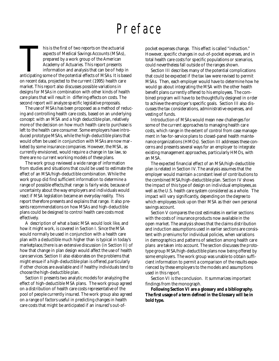# Preface

This is the first of two reports on the actuarial<br>aspects of Medical Savings Accounts (MSAs),<br>prepared by a work group of the American<br>Academy of Actuaries. This report presents<br>information and analysis that can be of help his is the first of two reports on the actuarial aspects of Medical Savings Accounts (MSAs), prepared by a work group of the American Academy of Actuaries. This report presents information and analysis that can be of help in on recent data, projected to the current (1995) health care market. This report also discusses possible variations in designs for MSAs in combination with other kinds of health care plans that will result in differing effects on costs. The second report will analyze specific legislative proposals.

The use of MSAs has been proposed as a method of reducing and controlling health care costs, based on an underlying concept: with an MSA and a high deductible plan, relatively more of the decision on how much health care to purchase is left to the health care consumer. Some employers have introduced prototype MSAs, while the high-deductible plans that would often be used in conjunction with MSAs are now marketed by some insurance companies. However, the MSA, as currently envisioned, would require a change in tax law, so there are no current working models of these plans.

The work group reviewed a wide range of information from studies and situations that could be used to estimate the effect of an MSA/high-deductible combination. While the work group did find sufficient information to determine a range of possible effects,that range is fairly wide, because of uncertainty about the way employers and individuals would react if MSA legislation became an everyday reality. This report therefore presents and explains that range. It also presents recommendations on how MSAs and high-deductible plans could be designed to control health care costs most effectively.

A description of what a basic MSA would look like, and how it might work, is covered in Section I. Since the MSA would normally be used in conjunction with a health care plan with a deductible much higher than is typical in today's marketplace,there is an extensive discussion (in Section II) of how that change in plan design would affect the use of health care services. Section II also elaborates on the problems that might ensue if a high-deductible plan is offered,particularly if other choices are available and if healthy individuals tend to choose the high-deductible plan.

Section II presents two analytic models for analyzing the effect of high-deductible MSA plans. The work group agreed on a distribution of health care costs representative of the pool of people currently insured. The work group also agreed on a range of factors useful in predicting changes in health care costs that might be anticipated if an insured's out-ofpocket expenses change. This effect is called "induction." However, specific changes in out-of-pocket expenses, and in total health care costs for specific populations or scenarios, could nevertheless fall outside of the ranges shown.

Section III describes many of the potential complications that could be expected if the tax law were revised to permit MSAs. Then, each employer would have to determine how he would go about integrating the MSA with the other health benefit plans currently offered to his employees. The combined program will have to be thoughtfully designed in order to achieve the employer's specific goals. Section III also discusses the tax considerations, administrative expenses, and vesting of funds.

Introduction of MSAs would mean new challenges for some of the current approaches to managing health care costs, which range in the extent of control from case management in fee-for-service plans to closed-panel health maintenance organizations (HMOs). Section III addresses these concerns and presents several ways for an employer to integrate existing management approaches, particularly HMOs, with an MSA.

The expected financial effect of an MSA/high-deductible plan is related in Section IV. The analysis assumes that the employer would maintain a constant level of contributions to the combined MSA/high-deductible plan. Section IV shows the impact of this type of design on individual employees,as well as the U.S. health care system considered as a whole. The impact will vary significantly, depending on the degree to which employees look upon their MSA as their own personal savings account.

Section V compares the cost estimates in earlier sections with the costs of insurance products now available in the open market. The analysis shows that the claims distribution and induction assumptions used in earlier sections are consistent with premiums for individual policies, when variations in demographics and patterns of selection among health care plans are taken into account. The section discusses the prototype group MSA/high-deductible plans now being offered by some employers. The work group was unable to obtain sufficient information to permit a comparison of the results experienced by these employers to the models and assumptions used in this report.

Section VI is the conclusion. It summarizes important findings from the monograph.

**Following Section VI are a glossary and a bibliography. The first usage of a term defined in the Glossary will be in bold type.**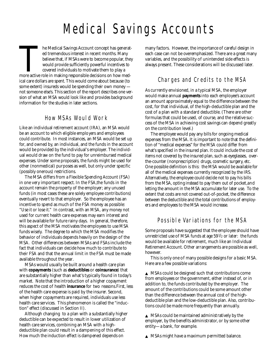# Medical Savings Accounts

The Medical Savings Account concept has generated the members of the term of the selection of the selection of the would provide sufficiently powerful incentives to covered individuals to motivate them to play a more activ he Medical Savings Account concept has generated tremendous interest in recent months. Many believe that, if MSAs were to become popular, they would provide sufficiently powerful incentives to covered individuals to motivate them to play a ical care dollars are spent. This would come about because (to some extent) insureds would be spending their own money not someone else's. This section of the report describes one version of what an MSA would look like and provides background information for the studies in later sections.

# How MSAs Would Work

Like an individual retirement account (IRA), an MSA would be an account to which eligible employers and employees could contribute. In most instances, an MSA would be set up for, and owned by, an individual, and the funds in the account would be provided by the individual's employer. The individual would draw on the fund to pay for unreimbursed medical expenses. Under some proposals, the funds might be used for other (nonmedical) purposes as well, but only under specific (possibly onerous) restrictions.

The MSA differs from a Flexible Spending Account (FSA) in one very important respect. In the FSA,the funds in the account remain the property of the employer; any unused funds (in most cases these are solely employee contributions) eventually revert to that employer. So the employee has an incentive to spend as much of the FSA money as possible: "Use it or lose it." In contrast, with an MSA, any money not used for current health care expenses may earn interest and will be available for future rainy days. In general, therefore, this aspect of the MSA motivates the employees to use MSA funds wisely. The degree to which the MSA modifies the behavior of individuals depends heavily on the design of the MSA. Other differences between MSAs and FSAs include the fact that individuals can decide how much to contribute to their FSA and that the annual limit in the FSA must be made available throughout the year.

MSAs would usually be built around a health care plan with **copayments** (such as **deductibles** or **coinsurance**) that are substantially higher than what's typically found in today's market. Note that the introduction of a higher copayment reduces the cost of health **insurance** for two reasons.First, less of the health care expense is paid by the insurer. Second, when higher copayments are required, individuals use less health care services. This phenomenon is called the "induction" effect (discussed in Section II).

Although changing to a plan with a substantially higher deductible can be expected to result in lower utilization of health care services, combining an MSA with a highdeductible plan could result in a dampening of this effect. How much the induction effect is dampened depends on

many factors. However, the importance of careful design in each case can not be overemphasized. There are a great many variables, and the possibility of unintended side effects is always present. These considerations will be discussed later.

# Charges and Credits to the MSA

As currently envisioned, in a typical MSA, the employer would make annual **payments** into each employee's account an amount approximately equal to the difference between the cost, for that individual, of the high-deductible plan and the cost of a plan with a standard deductible. (There are other formulas that could be used, of course, and the relative success of the MSA in achieving cost savings can depend greatly on the contribution level.)

The employee would pay any bills for ongoing medical expenses from the MSA. It is important to note that the definition of "medical expenses" for the MSA could differ from what's specified in the insured plan. It could include the cost of items not covered by the insured plan, such as eyeglasses, overthe-counter (nonprescription) drugs, cosmetic surgery, etc. One possible definition is this: the MSA would be available for all of the medical expenses currently recognized by the IRS. Alternatively, the employee could decide not to pay his bills from the MSA, opting instead to pay them out of pocket, and letting the amount in the MSA accumulate for later use. To the extent that costs are not covered out-of-pocket, the difference between the deductible and the total contributions of employers and employees to the MSA would increase.

# Possible Variations for the MSA

Some proposals have suggested that the employee should have unrestricted use of MSA funds at age 59<sup>1/2</sup> or later: the funds would be available for retirement, much like an Individual Retirement Account. Other arrangements are possible as well, however.

This is only one of many possible designs for a basic MSA. Here are a few possible variations:

▲ MSAs could be designed such that contributions come from employees or the government, either instead of, or in addition to, the funds contributed by the employer. The amount of the contributions could be some amount other than the difference between the annual cost of the highdeductible plan and the low-deductible plan. Also, contributions could be made more frequently than annually.

 $\triangle$  MSAs could be maintained administratively by the employer, by the benefits administrator, or by some other entity—a bank, for example.

▲ MSAs might have a maximum permitted balance.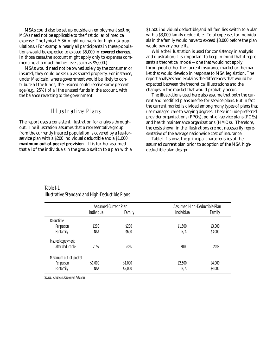MSAs could also be set up outside an employment setting. MSAs need not be applicable to the first dollar of medical expense. The typical MSA might not work for high-risk populations. (For example, nearly all participants in these populations would be expected to exceed \$5,000 in **covered charges**. In those cases,the account might apply only to expenses commencing at a much higher level, such as \$5,000.)

MSAs would need not be owned solely by the consumer or insured; they could be set up as shared property. For instance, under Medicaid, where government would be likely to contribute all the funds, the insured could receive some percentage (e.g., 25%) of all the unused funds in the account, with the balance reverting to the government.

# Illustrative Plans

The report uses a consistent illustration for analysis throughout. The illustration assumes that a representative group from the currently insured population is covered by a fee-forservice plan with a \$200 individual deductible and a \$1,000 **maximum out-of-pocket provision**. It is further assumed that all of the individuals in the group switch to a plan with a \$1,500 individual deductible,and all families switch to a plan with a \$3,000 family deductible. Total expenses for individuals in the family would have to exceed \$3,000 before the plan would pay any benefits.

While the illustration is used for consistency in analysis and illustration,it is important to keep in mind that it represents a theoretical model—one that would not apply throughout either the current insurance market or the market that would develop in response to MSA legislation. The report analyzes and explains the differences that would be expected between the theoretical illustrations and the changes in the market that would probably occur.

The illustrations used here also assume that both the current and modified plans are fee-for-service plans. But in fact the current market is divided among many types of plans that use managed care to varying degrees. These include preferred provider organizations (PPOs), point-of-service plans (POSs) and health maintenance organizations (HMOs). Therefore, the costs shown in the illustrations are not necessarily representative of the average nationwide cost of insurance.

Table I-1 shows the principal characteristics of the assumed current plan prior to adoption of the MSA highdeductible plan design.

|                       | <b>Assumed Current Plan</b> |         | Assumed High-Deductible Plan |         |
|-----------------------|-----------------------------|---------|------------------------------|---------|
|                       | Individual                  | Family  | Individual                   | Family  |
| Deductible            |                             |         |                              |         |
| Per person            | \$200                       | \$200   | \$1,500                      | \$3,000 |
| For family            | N/A                         | \$600   | N/A                          | \$3,000 |
| Insured copayment     |                             |         |                              |         |
| after deductible      | 20%                         | 20%     | 20%                          | 20%     |
| Maximum out-of-pocket |                             |         |                              |         |
| Per person            | \$1,000                     | \$1,000 | \$2,500                      | \$4,000 |
| For family            | N/A                         | \$3,000 | N/A                          | \$4,000 |

Table I-1 Illustrative Standard and High-Deductible Plans

*Source: American Academy of Actuaries*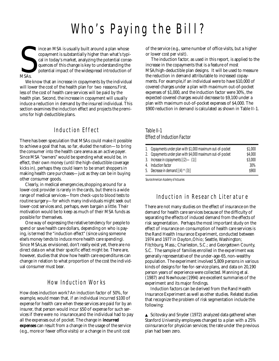# Who's Paying the Bill?

S<br>MSAs. ince an MSA is usually built around a plan whose copayment is substantially higher than what's typical in today's market, analyzing the potential consequences of this change is key to understanding the potential impact of the widespread introduction of MSAs.

We know that an increase in copayments by the individual will lower the cost of the health plan for two reasons.First, less of the cost of health care services will be paid by the health plan. Second, the increase in copayment will usually induce a reduction in demand by the insured individual. This section examines the induction effect and projects the premiums for high deductible plans.

# Induction Effect

There has been speculation that MSAs could make it possible to achieve a goal that has, so far, eluded the nation—to bring the consumer into the health care arena as an active payer. Since MSA "owners" would be spending what would be, in effect, their own money (until the high-deductible coverage kicks in), perhaps they could learn to be smart shoppers in making health care purchases—just as they can be in buying other consumer goods.

Clearly, in medical emergencies,shopping around for a lower-cost provider is rarely in the cards, but there is a wide range of medical services—from check-ups to blood tests to routine surgery—for which many individuals might seek out lower-cost services and, perhaps, even bargain a little. Their motivation would be to keep as much of their MSA funds as possible for themselves.

One way of expressing the relative tendency for people to spend or save health care dollars, depending on who is paying, is termed the "induction effect" (since using someone else's money tends to induce more health care spending). Since MSAs,as envisioned, don't really exist yet, there are no direct data on what their specific effect might be. There are, however, studies that show how health care expenditures can change in relation to what proportion of the cost the individual consumer must bear.

# How Induction Works

How does induction work? An induction factor of 50%, for example, would mean that, if an individual incurred \$100 of expense for health care when these services are paid for by an insurer, that person would incur \$50 of expense for such services if there were no insurance,and the individual had to pay all the expenses out of pocket. The change in **incurred expenses** can result from a change in the usage of the service (e.g., more or fewer office visits) or a change in the unit cost

of the service (e.g., same number of office visits, but a higher or lower cost per visit).

The induction factor, as used in this report, is applied to the increase in the copayments that is a feature of most MSA/high-deductible plan designs. It will be used to measure the reduction in demand attributable to increased copayments. For example, if an individual were to have \$10,000 of covered charges under a plan with maximum out-of-pocket expenses of \$1,000, and the induction factor were 30%, the expected covered charges would decrease to \$9,100 under a plan with maximum out-of-pocket expenses of \$4,000. The \$900 reduction in demand is calculated as shown in Table II-1.

### Table II-1 Effect of Induction Factor

| 1. Copayments under plan with \$1,000 maximum out-of-pocket | \$1,000 |
|-------------------------------------------------------------|---------|
| 2. Copayments under plan with \$4,000 maximum out-of-pocket | \$4,000 |
| 3. Increase in copayments $[(2)$ — $(1)]$                   | \$3,000 |
| 4. Induction factor                                         | 30%     |
| 5. Decrease in demand $[(4) * (3)]$                         | \$900   |

*Source:American Academy of Actuaries*

# Induction in Research Literature

There are not many studies on the effect of insurance on the demand for health care services because of the difficulty of separating the effects of induced demand from the effects of risk segmentation. Perhaps the most important study on the effect of insurance on consumption of health care services is the Rand Health Insurance Experiment, conducted between 1974 and 1977 in Dayton,Ohio; Seattle, Washington; Fitchburg, Mass.; Charleston, S.C.; and Georgetown County, S.C. The sample of families enrolled in the experiment was generally representative of the under-age-65, non-wealthy population. The experiment involved 5,809 persons in various kinds of designs for fee-for-service plans, and data on 20,190 person years of experience were collected. Manning et al. (1987) and Newhouse (1994) are excellent summaries of the experiment and its major findings.

Induction factors can be derived from the Rand Health Insurance Experiment as well as other studies. Related studies that recognize the problem of risk segmentation include the following:

▲ Scitovsky and Snyder (1972) analyzed data gathered when Stanford University employees changed to a plan with a 25% coinsurance for physician services; the rate under the previous plan had been zero.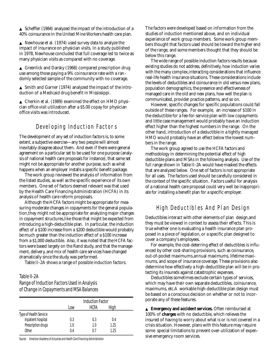$\triangle$  Scheffler (1984) analyzed the impact of the introduction of a 40% coinsurance in the United Mine Workers health care plan.

▲ Newhouse et al. (1974) used survey data to analyze the impact of insurance on physician visits. In a study published in 1978, Newhouse concluded that full coverage led to twice as many physician visits as compared with no coverage.

▲ Greenlick and Darsky (1968) compared prescription drug use among those paying a 9% coinsurance rate with a randomly selected sample of the community with no coverage.

▲ Smith and Garner (1974) analyzed the impact of the introduction of a Medicaid drug benefit in Mississippi.

▲ Cherkin et al. (1989) examined the effect on HMO physician office visit utilization after a \$5.00 copay for physician office visits was introduced.

## Developing Induction Factors

The development of any set of induction factors is, to some extent, a subjective exercise—any two people will almost in evitably disagree about them. And even if there were general agreement on a particular set to be used for one purpose (analysis of national health care proposals for instance), that same set might not be appropriate for another purpose, such as what happens when an employer installs a specific benefit package.

The work group reviewed the analysis of information from the listed studies, as well as the specific experience of its own members. One set of factors deemed relevant was that used by the Health Care Financing Administration (HCFA) in its analysis of health care reform proposals.

Although the HCFA factors might be appropriate for measuring moderate changes in copayments for the general population, they might not be appropriate for analyzing major changes in copayment structures, like those that might be expected from introducing a high-deductible plan. In particular, the induction effect of a \$100 increase from a \$200 deductible would probably be much greater than the induction effect of a \$100 increase from a \$1,000 deductible. Also, it was noted that the HCFA factors were based largely on the Rand study, and that the management, delivery, and mix of health care services have changed dramatically since the study was performed.

Table II-2A shows a range of possible induction factors.

### Table II-2A

#### Range of Induction Factors Used in Analysis of Change in Copayments and MSA Balances

|                        | <b>Induction Factor</b> |             |      |  |
|------------------------|-------------------------|-------------|------|--|
|                        | l ow                    | <b>HCFA</b> | High |  |
| Type of Health Service |                         |             |      |  |
| Inpatient hospital     | 0.3                     | 0.3         | 0.4  |  |
| Prescription drugs     | 1.0                     | 1.0         | 1.25 |  |
| Other                  | 0.4                     | () /        | 1.25 |  |

*Source: American Academy of Actuaries and Health Care Financing Administration*

The factors were developed based on information from the studies of induction mentioned above, and on individual experience of work group members. Some work group members thought that factors used should be toward the higher end of the range, and some members thought that they should be below this range.

The wide range of possible induction factors results because existing studies do not address, definitively, how induction varies with the many complex, interacting considerations that influence real-life health insurance situations. These considerations include the levels of deductibles and coinsurance in old versus new plans, population demographics, the presence and effectiveness of managed care in the old and new plans, how well the plan is communicated, provider practice patterns, and so on.

However, specific changes for specific populations could fall outside of these ranges. For example, an increase of \$100 in the deductible for a fee-for-service plan with low copayments and little case management would probably have an induction effect higher than the highest numbers in the range. On the other hand, introduction of a deductible in a tightly managed HMO would probably have an effect below the lowest numbers in the range.

The work group agreed to use the HCFA factors and methodology in determining the potential effect of high deductible plans and MSAs in the following analysis. Use of the full range shown in Table II-2A would have masked the effects that are analyzed below. One set of factors is not appropriate for all uses. The factors used should be carefully considered in the context of the specific situation. Factors useful for analysis of a national health care proposal could very well be inappropriate for installing a benefit plan for a specific employer.

### High Deductibles And Plan Design

Deductibles interact with other elements of plan design,and they must be viewed in context to assess their effects. This is true whether one is evaluating a health insurance plan proposed in a piece of legislation, or a specific plan designed to cover a company's employees.

For example, the cost-deterring effect of deductibles is influenced by other cost-sharing provisions, such as coinsurance, out-of-pocket maximums, annual maximums, lifetime maximums, and scope of insurance coverage. These provisions also determine how effectively a high-deductible plan will be in protecting its insureds against catastrophic expenses.

Deductibles sometimes exclude certain types of services, which may have their own separate deductibles, coinsurance, maximums, etc.A workable high-deductible plan design must be based on a conscious decision on whether or not to incorporate any of these features.

▲ **Emergency and accident services.** Often reimbursed at 100% of **charges** with no deductible, which relieves the insured of having to worry about what is or is not covered in a crisis situation. However, plans with this feature may require some special limitations to prevent over-utilization of expensive emergency room services.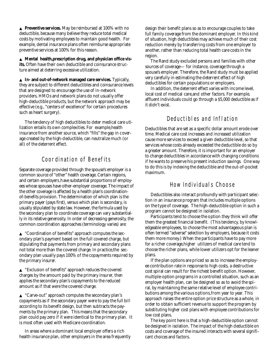▲ **Preventive services.** May be reimbursed at 100% with no deductible, because many believe they reduce total medical costs by motivating employees to maintain good health. For example, dental insurance plans often reimburse appropriate preventive services at 100% for this reason.

▲ **Mental health,prescription drug, and physician office visits.** Often have their own deductible and coinsurance structure aimed at deterring excessive utilization.

▲ **In- and out-of-network managed care services.** Typically, they are subject to different deductibles and coinsurance levels that are designed to encourage the use of in-network providers. HMOs and network plans do not usually offer high-deductible products, but the network approach may be effective (e.g., "centers of excellence" for certain procedures such as heart surgery).

The tendency of high deductibles to deter medical care utilization entails its own complexities. For example,health insurance from another source, which "fills" the gap in coverage created by the high-deductible, can neutralize much (or all) of the deterrent effect.

# Coordination of Benefits

Separate coverage provided through the spouse's employer is a common source of "other" health coverage. Certain regions, and certain employers, have substantial proportions of employees whose spouses have other-employer coverage. The impact of the other coverage is affected by a health plan's coordinationof-benefits provision. The determination of which plan is the primary payer (pays first), versus which plan is secondary, is usually stipulated by state law. However, the formula used by the secondary plan to coordinate coverage can vary substantially in its relative generosity. In order of decreasing generosity, the common coordination approaches (terminology varies) are:

▲ "Coordination of benefits" approach computes the secondary plan's payment based on the full covered charge, but stipulating that payments from primary and secondary plans not total more than the covered charge. In practice,the secondary plan usually pays 100% of the copayments required by the primary insurer.

▲ "Exclusion of benefits" approach reduces the covered charges by the amount paid by the primary insurer, then applies the secondary plan's copayments to the reduced amount as if that were the covered charge.

▲ "Carve-out" approach computes the secondary plan's copayments as if the secondary payer were to pay the full bill according to its benefit design, but then subtracts the payments by the primary plan. This means that the secondary plan could pay zero if it were identical to the primary plan. It is most often used with Medicare coordination.

In areas where a dominant local employer offers a rich health insurance plan, other employers in the area frequently design their benefit plans so as to encourage couples to take full family coverage from the dominant employer. In this kind of situation, high deductibles may achieve much of their cost reduction merely by transferring costs from one employer to another, rather than reducing total health care costs in the region.

The Rand study excluded persons and families with other sources of coverage— for instance, coverage through a spouse's employer. Therefore, the Rand study must be applied very carefully in estimating the deterrent effect of high deductibles for certain populations or employers.

In addition, the deterrent effect varies with income level, local cost of medical care,and other factors. For example, affluent individuals could go through a \$5,000 deductible as if it didn't exist.

# Deductibles and Inflation

Deductibles that are set as a specific dollar amount erode over time. Medical care cost increases and increased utilization cause more services to exceed a given deductible level, so that services whose costs already exceeded the deductible do so by a greater amount. Therefore, it is important for an employer to change deductibles in accordance with changing conditions if he wants to preserve his present induction savings. One way to do this is by indexing the deductible and the out-of-pocket maximum.

# How Individuals Choose

Deductibles also interact profoundly with participant selection in an insurance program that includes multiple options on the type of coverage. The high-deductible option in such a program cannot be designed in isolation.

Participants tend to choose the option they think will offer them the greatest financial benefit. (This tendency, by knowledgeable employees, to choose the most advantageous plan is often termed "adverse" selection by employers, because it costs them more money.) When the participants have to pay more for a richer coverage,higher utilizers of medical care tend to choose the richer plans, while lower utilizers opt for the leaner plans.

If the plan options are priced so as to increase the employee contribution rate in response to high costs, a destructive cost spiral can result for the richest benefit option. However, multiple-option programs in a controlled situation, such as an employer health plan, can be designed so as to avoid the spiral, by maintaining the same relative level of employee contributions among the various options,from year to year. This approach raises the entire option price structure as a whole, in order to obtain sufficient revenue to support the program by substituting higher cost plans with employee contributions for low cost plans.

The key point here is that a high-deductible option cannot be designed in isolation. The impact of the high deductible on costs and coverage of the insured interacts with several significant choices and factors.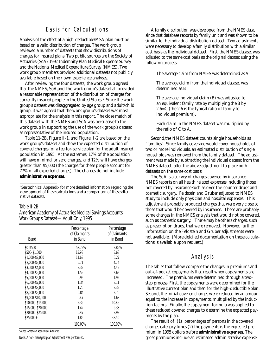## Basis for Calculations

Analysis of the effect of a high-deductible/MSA plan must be based on a valid distribution of charges. The work group reviewed a number of datasets that show distributions of charges for insured plans. Two public sources are the Society of Actuaries (SoA) 1992 Indemnity Plan Medical Expense Survey and the National Medical Expenditure Survey (NMES). Two work group members provided additional datasets not publicly available, based on their own experience analyses.

After reviewing the four datasets, the work group agreed that the NMES, SoA,and the work group's dataset all provided a reasonable representation of the distribution of charges for currently insured people in the United States.1 Since the work group's dataset was disaggregated by age group and adult/child group, it was agreed that the work group's dataset was most appropriate for the analysis in this report. The close match of this dataset with the NMES and SoA was persuasive to the work group in supporting the use of the work group's dataset as representative of the insured population.

Table 11-2B, Figure II-1, and Figure II-2 are based on the work group's dataset and show the expected distribution of covered charges for a fee-for-service plan for the adult insured population in 1995. At the extremes, 17% of the population will have minimal or zero charges, and 12% will have charges greater than \$5,000 (the charges for these people account for 77% of all expected charges). The charges do not include **administrative expenses**.

<sup>1</sup>See technical Appendix for more detailed information regarding the development of these calculations and a comparison of these alternative datasets.

#### Table II-2B

#### American Academy of Actuaries Medical Savings Accounts Work Group's Dataset—Adult Only, 1995

| Band              | Percentage<br>of Claimants<br>in Band | Percentage<br>of Claimants<br>in Band |
|-------------------|---------------------------------------|---------------------------------------|
| \$0-\$500         | 52.79%                                | 2.85%                                 |
| \$500-\$1,000     | 13.98                                 | 3.68                                  |
| \$1,000-\$2,000   | 11.63                                 | 6.27                                  |
| \$2,000-\$3,000   | 5.71                                  | 4.74                                  |
| \$3,000-\$4,000   | 3.39                                  | 4.49                                  |
| \$4,000-\$5,000   | 1.55                                  | 2.62                                  |
| \$5,000-\$6,000   | 0.96                                  | 1.92                                  |
| \$6,000-\$7,000   | 1.34                                  | 3.11                                  |
| \$7,000-\$8,000   | 1.20                                  | 3.32                                  |
| \$8,000-\$9,000   | 0.84                                  | 2.70                                  |
| \$9,000-\$10,000  | 0.47                                  | 1.68                                  |
| \$10,000-\$15,000 | 2.39                                  | 10.86                                 |
| \$15,000-\$20,000 | 1.42                                  | 9.33                                  |
| \$20,000-\$25,000 | 0.47                                  | 3.93                                  |
| $$25.000+$        | 1.86                                  | 38.50                                 |
|                   | 100.00%                               | 100.00%                               |

*Source: American Academy of Actuaries*

Note: A non-managed plan adjustment was performed.

A family distribution was developed from the NMES data, since that database reports by family unit and was shown to be similar to the individual distribution dataset. Two adjustments were necessary to develop a family distribution with a similar cost basis as the individual dataset. First, the NMES dataset was adjusted to the same cost basis as the original dataset using the following process:

The average claim from NMES was determined as A

The average claim from the individual dataset was determined as B

The average individual claim (B) was adjusted to an equivalent family rate by multiplying the B by 2.6=C (the 2.6 is the typical ratio of family to individual premium).

Each claim in the NMES dataset was multiplied by the ratio of C to A.

Second,the NMES dataset counts single households as "families". Since family coverage would cover households of two or more individuals, an estimated distribution of single households was removed from the family dataset. The adjustment was made by subtracting the individual dataset from the NMES dataset, after the above adjustment to place both datasets on the same cost basis.

The SoA is a survey of charges covered by insurance. NMES reports on all health related expenses including those not covered by insurance such as over-the-counter drugs and cosmetic surgery. Feldstein and Gruber adjusted to NMES study to include only physician and hospital expenses. This adjustment probably produced charges that were very close to those that would be covered by insurance. There are probably some charges in the NMES analysis that would not be covered, such as cosmetic surgery. There may be others charges, such as prescription drugs, that were removed. However, further information on the Feldstein and Gruber adjustments were not available. (More detailed documentation on these calculations is available upon request.)

#### Analysis

The tables that follow compare the changes in premiums and out-of-pocket copayments that result when copayments are increased. The premiums were determined through a twostep process. First, the copayments were determined for the illustrative current plan and then for the high-deductible plan. Second, the initial covered charges were reduced by an amount equal to the increase in copayments, multiplied by the induction factors. Finally, the copayment formula was applied to these reduced covered charges to determine the expected payments by the plan.

The result of (1) percentages of persons in the covered charges category times (2) the payments is the expected premium in 1995 dollars before **administrative expenses**. The gross premiums include an estimated administrative expense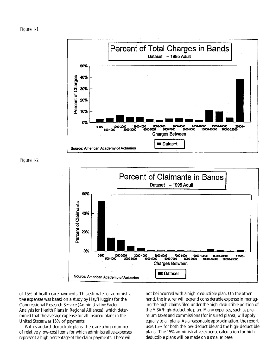



Figure II-2



of 15% of health care payments. This estimate for administrative expenses was based on a study by Hay/Huggins for the Congressional Research Service (*Administrative Factor Analysis for Health Plans in Regional Alliances*), which determined that the average expense for all insured plans in the United States was 15% of payments.

With standard-deductible plans, there are a high number of relatively low-cost items for which administrative expenses represent a high percentage of the claim payments. These will not be incurred with a high-deductible plan. On the other hand, the insurer will expend considerable expense in managing the high claims filed under the high-deductible portion of the MSA/high-deductible plan. Many expenses, such as premium taxes and commissions (for insured plans), will apply equally to all plans. As a reasonable approximation, the report uses 15% for both the low-deductible and the high-deductible plans. The 15% administrative expense calculation for highdeductible plans will be made on a smaller base.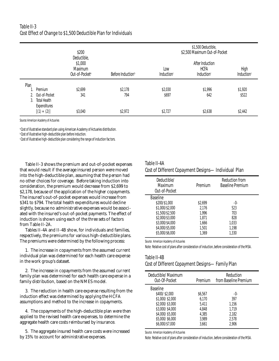## Table II-3 Cost Effect of Change to \$1,500 Deductible Plan for Individuals

|      |                                                  | \$200                                                           |                               | \$1,500 Deductible,<br>\$2,500 Maximum Out-of-Pocket              |         |                    |
|------|--------------------------------------------------|-----------------------------------------------------------------|-------------------------------|-------------------------------------------------------------------|---------|--------------------|
|      |                                                  | Deductible,<br>\$1,000<br>Maximum<br>Out-of-Pocket <sup>a</sup> | Before Induction <sup>b</sup> | After Induction<br><b>HCFA</b><br>Low<br>Induction®<br>Induction® |         | High<br>Induction® |
| Plan | Premium                                          | \$2,699                                                         | \$2,178                       | \$2,030                                                           | \$1,996 | \$1,920            |
| 3.   | 2. Out-of-Pocket<br>Total Health<br>Expenditures | 341                                                             | 794                           | \$697                                                             | 642     | \$522              |
|      | $[(1) + (2)]$                                    | \$3,040                                                         | \$2,972                       | \$2,727                                                           | \$2,638 | \$2,442            |

*Source: American Academy of Actuaries*

<sup>a</sup> Cost of illustrative standard plan using American Academy of Actuaries distribution.

b Cost of illustrative high-deductible plan before induction.

c Cost of illustrative high-deductible plan considering the range of induction factors.

Table II-3 shows the premium and out-of-pocket expenses that would result if the average insured person were moved into the high-deductible plan, assuming that the person had no other choices for coverage. Before taking induction into consideration, the premium would decrease from \$2,699 to \$2,178, because of the application of the higher copayments. The insured's out-of-pocket expenses would increase from \$341 to \$794. The total health expenditures would decline slightly, because no administrative expenses would be associated with the insured's out-of-pocket payments. The effect of induction is shown using each of the three sets of factors from Table II-2A.

Tables II-4A and II-4B show, for individuals and families, respectively, the premiums for various high-deductible plans. The premiums were determined by the following process:

1. The increase in copayments from the assumed current individual plan was determined for each health care expense in the work group's dataset.

2. The increase in copayments from the assumed current family plan was determined for each health care expense in a family distribution, based on the NMES model.

3. The reduction in health care expense resulting from the induction effect was determined by applying the HCFA assumptions and method to the increase in copayments.

4. The copayments of the high-deductible plan were then applied to the revised health care expenses, to determine the aggregate health care costs reimbursed by insurance.

5. The aggregate insured health care costs were increased by 15% to account for administrative expenses.

#### Table II-4A

#### Cost of Different Copayment Designs—Individual Plan

| Deductible/<br>Maximum<br>Out-of-Pocket | Premium | <b>Reduction from</b><br><b>Baseline Premium</b> |
|-----------------------------------------|---------|--------------------------------------------------|
| <b>Baseline</b>                         |         |                                                  |
| \$200/\$1,000                           | \$2.699 | $-()$ -                                          |
| \$1,000/\$2,000                         | 2.176   | 523                                              |
| \$1,500/\$2,500                         | 1.996   | 703                                              |
| \$2,000/\$3,000                         | 1.871   | 828                                              |
| \$3,000/\$4,000                         | 1.666   | 1.033                                            |
| \$4,000/\$5,000                         | 1.501   | 1.198                                            |
| \$5,000/\$6,000                         | 1.369   | 1.330                                            |

*Source: American Academy of Actuaries* 

Note: Relative cost of plans after consideration of induction, before consideration of the MSA.

### Table II-4B Cost of Different Copayment Designs—Family Plan

| Deductible/ Maximum<br>Out-Of-Pocket | Premium | Reduction<br>from Baseline Premium |
|--------------------------------------|---------|------------------------------------|
| <b>Baseline</b>                      |         |                                    |
| \$400/\$2,000                        | \$6,567 | $-()$ -                            |
| \$1,000/\$2,000                      | 6.170   | 397                                |
| \$2,000/\$3,000                      | 5.411   | 1.156                              |
| \$3,000/\$4,000                      | 4,848   | 1.719                              |
| \$4,000/\$5,000                      | 4,385   | 2,182                              |
| \$5,000/\$6,000                      | 3.989   | 2.578                              |
| \$6,000/\$7,000                      | 3.661   | 2.906                              |
|                                      |         |                                    |

*Source: American Academy of Actuaries*

Note: Relative cost of plans after consideration of induction,before consideration of the MSA.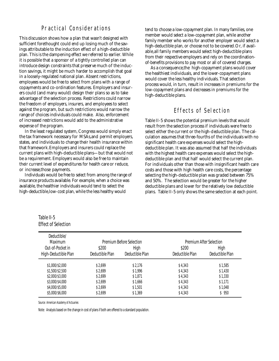# Practical Considerations

This discussion shows how a plan that wasn't designed with sufficient forethought could end up losing much of the savings attributable to the induction effect of a high-deductible plan. This is the dampening effect we referred to earlier. While it is possible that a sponsor of a tightly controlled plan can introduce design constraints that preserve much of the induction savings, it might be much harder to accomplish that goal in a loosely-regulated national plan. Absent restrictions, employees would be free to select from plans with a range of copayments and co-ordination features. Employers and insurers could (and many would) design their plans so as to take advantage of the selection process. Restrictions could narrow the freedom of employers, insurers, and employees to select against the program, but such restrictions would narrow the range of choices individuals could make. Also, enforcement of increased restrictions would add to the administrative expense of the program.

In the least regulated system, Congress would simply enact the tax framework necessary for MSAs,and permit employers, states, and individuals to change their health insurance within that framework.Employers and insurers could replace the current plans with high-deductible plans—but that would not be a requirement. Employers would also be free to maintain their current level of expenditures for health care or reduce, or increase,those payments.

Individuals would be free to select from among the range of insurance products available. For example, when a choice was available, the healthier individuals would tend to select the high-deductible, low-cost plan, while the less healthy would

tend to choose a low-copayment plan. In many families, one member would select a low-copayment plan, while another family member who works for another employer would select a high-deductible plan, or choose not to be covered.Or, if available, all family members would select high-deductible plans from their respective employers and rely on the coordinationof-benefits provisions to pay most or all of covered charges.

As a consequence,the high-copayment plans would cover the healthiest individuals, and the lower-copayment plans would cover the less healthy individuals. That selection process would, in turn, result in increases in premiums for the low-copayment plans and decreases in premiums for the high-deductible plans.

# Effects of Selection

Table II-5 shows the potential premium levels that would result from the selection process if individuals were free to select either the current or the high-deductible plan. The calculation assumes that three-fourths of the individuals with no significant health care expenses would select the highdeductible plan. It was also assumed that half the individuals with the highest health care expenses would select the highdeductible plan and that half would select the current plan. For individuals other than those with insignificant health care costs and those with high health care costs, the percentage selecting the high-deductible plan was graded between 75% and 50%. The selection would be greater for the higher deductible plans and lower for the relatively low deductible plans. Table II-5 only shows the same selection at each point.

| Table II-5                 |
|----------------------------|
| <b>Effect of Selection</b> |

| Maximum              |                 | Premium Before Selection |                 | Premium After Selection |  |  |
|----------------------|-----------------|--------------------------|-----------------|-------------------------|--|--|
| Out-of-Pocket in     | \$200           | High                     |                 | High                    |  |  |
| High-Deductible Plan | Deductible Plan | Deductible Plan          | Deductible Plan | Deductible Plan         |  |  |
| \$1,000/\$2,000      | \$2.699         | \$2.176                  | \$4,343         | \$1,585                 |  |  |
| \$1,500/\$2,500      | \$2.699         | \$1,996                  | \$4,343         | \$1.430                 |  |  |
| \$2,000/\$3,000      | \$2.699         | \$1.871                  | \$4.343         | \$1,330                 |  |  |
| \$3,000/\$4,000      | \$2,699         | \$1.666                  | \$4.343         | \$1.171                 |  |  |
| \$4,000/\$5,000      | \$2,699         | \$1,501                  | \$4.343         | \$1,048                 |  |  |
| \$5,000/\$6,000      | \$2.699         | \$1,369                  | \$4,343         | \$950                   |  |  |

*Source: American Academy of Actuaries*

Note: Analysis based on the change in cost of plans if both are offered to a standard population.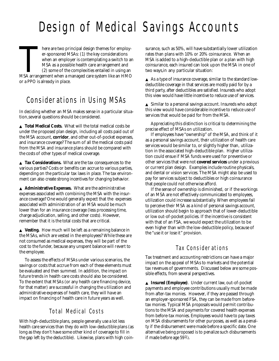# Design of Medical Savings Accounts

There are two principal design themes for employer-sponsored MSAs: (1) the key considerations<br>when an employer is contemplating a switch to an<br>MSA as a possible health care arrangement and<br>(2) some of the complexities enta here are two principal design themes for employer-sponsored MSAs: (1) the key considerations when an employer is contemplating a switch to an MSA as a possible health care arrangement and (2) some of the complexities entailed in using an or a PPO is already in place.

# Considerations in Using MSAs

In deciding whether an MSA makes sense in a particular situation,several questions should be considered.

▲ **Total Medical Costs.** What will the total medical costs be under the proposed plan design, including all costs paid out of the MSA account, **corridor**, and other out-of-pocket expenses, and insurance coverage? The sum of all the medical costs paid from the MSA and insurance plans should be compared with the costs of other types of medical coverage.

▲ **Tax Considerations.** What are the tax consequences to the various parties? Costs or benefits can accrue to various parties, depending on the particular tax laws in place. The tax environment can also create strong incentives for changing behavior.

▲ **Administrative Expenses.** What are the administrative expenses associated with combining the MSA with the insurance coverage? One would generally expect that the expenses associated with administration of an MSA would be much lower than for an insurance coverage (less processing time, charge adjudication, selling, and other costs). However, remember that it is the total costs that are critical.

▲ **Vesting.** How much will be left as a remaining balance in the MSAs, which are vested in the employees? While these are not consumed as medical expenses, they will be part of the cost to the funder, because any unspent balance will revert to the employee.

To assess the effects of MSAs under various scenarios, the savings or costs that accrue from each of these elements must be evaluated and then summed. In addition, the impact on future trends in health care costs should also be considered. To the extent that MSAs (or any health care financing device, for that matter) are successful in changing the utilization and administrative expenses of health care, they will have an impact on financing of health care in future years as well.

# Total Medical Costs

With high-deductible plans, people generally use a lot less health care services than they do with low-deductible plans (as long as they don't have some other kind of coverage to fill in the gap left by the deductible). Likewise, plans with high coinsurance, such as 50%, will have substantially lower utilization rates than plans with 10% or 20% coinsurance. When an MSA is added to a high-deductible plan or a plan with high coinsurance, each insured can look upon the MSA in one of two ways,in any particular situation:

 $\triangle$  As a type of insurance coverage, similar to the standard lowdeductible coverage in that services are mostly paid for by a third party, after deductibles are satisfied. Insureds who adopt this view would have little incentive to reduce use of services.

▲ Similar to a personal savings account. Insureds who adopt this view would have considerable incentive to reduce use of services that would be paid for from the MSA.

Appreciating this distinction is critical to determining the precise effect of MSAs on utilization.

If employees have "ownership" of the MSA, and think of it as a personal savings account, their utilization of health care services would be similar to, or slightly higher than, utilization in the associated high-deductible plan. Higher utilization could ensue if MSA funds were used for preventive or other services that were not **covered services** under a previous or current plan design. Examples include routine physicals, and dental or vision services. The MSA might also be used to pay for services subject to deductibles or high coinsurance that people could not otherwise afford.

If the sense of ownership is diminished, or if the workings of an MSA are not effectively communicated to employees, utilization could increase substantially. When employees fail to perceive their MSA as a kind of personal savings account, utilization should begin to approach that of lower-deductible or low out-of-pocket policies. If the incentive is consistent with that of an FSA, we would expect the utilization to be even higher than with the low-deductible policy, because of the "use it or lose it" provision.

# Tax Considerations

Tax treatment and accounting restrictions can have a major impact on the appeal of MSAs to markets and the potential tax revenues of governments. Discussed below are some possible effects, from several perspectives.

▲ **Insured (Employee)**. Under current law, out-of-pocket payments and employee contributions usually must be made from after-tax monies. However, if they are passed through an employer-sponsored FSA, they can be made from beforetax monies. Typical MSA proposals would permit contributions to the MSA and payments for covered health expenses from before-tax monies. Employees would have to pay taxes on MSA disbursements for other purposes, as well as a penalty if the disbursement were made before a specific date. One alternative being proposed is to penalize such disbursements if made before age  $59^{1/2}$ .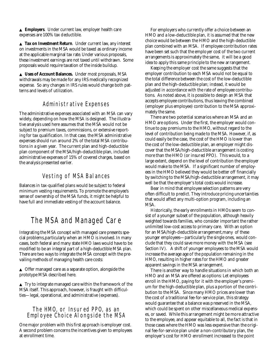▲ **Employers**. Under current law, employer health care expenses are 100% tax deductible.

▲ **Tax on Investment Return.** Under current law, any interest on investments in the MSA would be taxed as ordinary income at the applicable marginal tax rate. Under various proposals, these investment earnings are not taxed until withdrawn. Some proposals would require taxation of the inside buildup.

▲ **Uses of Account Balances.** Under most proposals, MSA withdrawals may be made for any IRS medically recognized expense. So any changes in IRS rules would change both patterns and levels of utilization.

# Administrative Expenses

The administrative expenses associated with an MSA can vary widely, depending on how the MSA is designed. The illustrative analysis used here assumes that the MSA would not be subject to premium taxes, commissions, or extensive reporting for tax qualification. In that case, the MSA administrative expenses should run around 2% of the total MSA contributions in a g iven year. The current plan and high-deductible plan component of the MSA/high-deductible plan, included administrative expenses of 15% of covered charges, based on the analysis presented earlier.

# Vesting of MSA Balances

Balances in tax-qualified plans would be subject to federal minimum vesting requirements. To promote the employee's sense of ownership of the MSA funds, it might be helpful to have full and immediate vesting of the account balance.

# The MSA and Managed Care

Integrating the MSA concept with managed care presents special problems, particularly when an HMO is involved. In many cases, both federal and many state HMO laws would have to be modified to be an integral part of a high-deductible MSA plan. There are two ways to integrate the MSA concept with the prevailing methods of managing health care costs:

▲ Offer managed care as a separate option, alongside the prototype MSA described here.

 $\triangle$  Try to integrate managed care within the framework of the MSA itself. This approach, however, is fraught with difficulties—legal, operational, and administrative (expenses).

### The HMO, or Insured PPO, as an Employee Choice Alongside the MSA

One major problem with this first approach is employer cost. A second problem concerns the incentives given to employees at enrollment time.

For employers who currently offer a choice between an HMO and a low-deductible plan, it is assumed that the new choice would be between the HMO and the high-deductible plan combined with an MSA. If employee contribution rates have been set such that the employer cost of the two current arrangements is approximately the same, it will be a good idea to apply this same principle to the new arrangement.

Keeping the employer cost the same suggests that the employer contribution to each MSA would not be equal to the total difference between the cost of the low-deductible plan and the high-deductible plan; instead, it would be adjusted in accordance with the rate of employee contributions. As noted above, it is possible to design an MSA that accepts employee contributions, thus leaving the combined (employer plus employee) contribution to the MSA approximately the same.

There are two potential scenarios where an MSA and an HMO are options. Under the first, the employer would continue to pay premiums to the HMO, without regard to the level of contribution being made to the MSA. However, if, as could easily be the case, the cost of the HMO is lower than the cost of the low-deductible plan, an employer might discover that the MSA/high-deductible arrangement is costing more than the HMO (or insured PPO). This would, to a large extent, depend on the level of contribution the employer would make to the MSA. If a significant number of employees in the HMO believed they would be better off financially by switching to the MSA/high-deductible arrangement, it may well be that the employer's total costs would increase.

Bear in mind that employee selection patterns are very often difficult to predict. They introduce pricing uncertainties that would affect any multi-option program, including an MSA.

Historically, the early enrollments in HMOs seem to consist of a younger subset of the population, although heavily weighted towards families, who consider important the rather unlimited low-cost access to primary care. With an option for an MSA/high-deductible arrangement,many of these younger employees—particularly the single ones, would conclude that they could save more money with the MSA (see Section IV). A shift of younger employees to the MSA would increase the average age of the population remaining in the HMO, resulting in higher rates for the HMO and greater apparent savings in the MSA arrangement.

There is another way to handle situations in which both an HMO and an MSA are offered as options: Let employees enroll in the HMO, paying for it with the employer's premium for the high-deductible plan, plus a portion of the contribution to the MSA. Since many HMO prices are lower than the cost of a traditional fee-for-service plan, this strategy would guarantee that a balance was preserved in the MSA, which could be spent on other miscellaneous medical expenses, or saved. While this arrangement might be more attractive to the employee, and appear equitable to all, the fact is that in those cases where the HMO was less expensive than the original fee-for-service plan under a non-contributory plan, the employer's cost for HMO enrollment increased to the point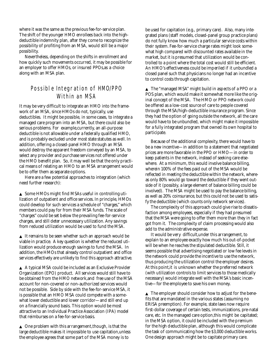where it was the same as the previous fee-for-service plan. The shift of the younger HMO enrollees back into the highdeductible indemnity plan, after they come to recognize the possibility of profiting from an MSA, would still be a major possibility.

Nevertheless, depending on the shifts in enrollment and how quickly such movements occurred, it may be possible for an employer to offer HMOs, or insured PPOs,as a choice along with an MSA plan.

# Possible Integration of HMO/PPO Within an MSA

It may be very difficult to integrate an HMO into the framework of an MSA, since HMOs do not, typically, use deductibles. It might be possible, in some cases, to integrate a managed care program into an MSA, but there could also be serious problems. For example,currently, an all-purpose deductible is not allowable under a federally qualified HMO, and is probably excluded under most state statutes as well. In addition, offering a closed-panel HMO through an MSA would destroy the apparent freedom conveyed by an MSA, to select any provider and purchase services not offered under the HMO benefit plan. So, it may well be that the only practical means of relating an HMO to an MSA arrangement would be to offer them as separate options.

Here are a few potential approaches to integration (which need further research):

▲ Some HMOs might find MSAs useful in controlling utilization of outpatient and office services. In principle, HMOs could develop for such services a schedule of "charges," which members could pay for from their MSA funds. The scale of "charges" could be set below the prevailing fee-for-service charges, and still deter unnecessary utilization. Any savings from reduced utilization would be used to fund the MSA.

 $\blacktriangle$  It remains to be seen whether such an approach would be viable in practice. A key question is whether the reduced utilization would produce enough savings to fund the MSA. In addition, the HMOs that already control outpatient and office services effectively are unlikely to find this approach attractive.

▲ A typical MSA could be included as an Exclusive Provider Organization (EPO) product. All services would still have to be obtained from the HMO network,and free use of the MSA account for non-covered or non-authorized services would not be possible. Side by side with the fee-for-service MSA, it is possible that an HMO MSA could compete with a somewhat lower deductible and lower corridor—and still end up on a financially sound basis. This option would be most attractive to an Individual Practice Association (IPA) model that reimburses on a fee-for-service basis.

 $\triangle$  One problem with this arrangement, though, is that the large deductible makes it impossible to use capitation,unless the employee agrees that some part of the MSA money is to

be used for capitation (e.g., primary care). Also, many integrated plans (staff models, closed-panel group practice plans) do not fully know how much a particular service costs within their system. Fee-for-service charge rates might look somewhat high compared with discounted rates available in the market, but it is presumed that utilization would be controlled to a point where the total cost would still be efficient. An HMO's effectiveness could be imperiled if it unbundled a closed panel such that physicians no longer had an incentive to control costs through capitation.

▲ The "managed MSA" might build in aspects of a PPO or a POS plan, which would make it somewhat more like the original concept of the MSA. The HMO or PPO network could be offered as a low-cost source of care to people covered through the MSA/high-deductible insurance program. Since they had the option of going outside the network, all the care would have to be unbundled, which might make it impossible for a fully integrated program that owned its own hospital to participate.

Because of the additional complexity, there would have to be a new incentive—in addition to a statement that negotiated prices are more favorable in the PPO or HMO—in order to keep patients in the network, instead of seeking care elsewhere. At a minimum, this would involve balance billing, wherein 100% of the fees paid out of the MSA would be reflected in meeting the deductible within the network, whereas only 80% would go toward the deductible if they went outside of it (possibly, a large element of balance billing could be involved). The MSA might be used to pay the balance billing, as well as 20% coinsurance, but this could not be used to satisfy the deductible (which counts only network services).

The complexity of this approach could give rise to dissatisfaction among employees, especially if they had presumed that the MSA were going to offer them more than they in fact got from it. The complexity of claim processing would also add to the administrative expense.

It would be very difficult,under this arrangement, to explain to an employee exactly how much his out-of-pocket will be when he reaches the stipulated deductible. Still, it seems possible that advertising negotiated or low fee levels in the network could provide the incentive to use the network, thus producing the utilization control the employer desires. At this point,it is unknown whether the preferred network (with utilization controls to limit services to those medically necessary) would integrate well with the MSA's basic incentive—for the employee to save his own money.

▲ The employer should consider how to adjust for the benefits that are mandated in the various states (assuming no ERISA preemption). For example, state laws now require first-dollar coverage of certain tests, immunizations, pre-natal care, etc. In the managed care option,this might be capitated; in the MSA option, it could be included with the premium for the high deductible plan, although this would complicate the task of communicating how the \$3,000 deductible works. One design approach might be to capitate primary care.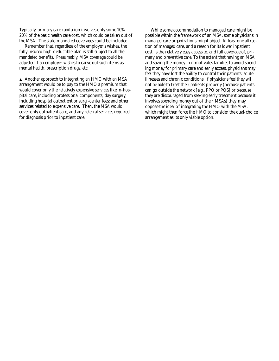Typically, primary care capitation involves only some 10%– 20% of the basic health care cost, which could be taken out of the MSA. The state-mandated coverages could be included.

Remember that, regardless of the employer's wishes, the fully insured high-deductible plan is still subject to all the mandated benefits. Presumably, MSA coverage could be adjusted if an employer wishes to carve out such items as mental health, prescription drugs, etc.

▲ Another approach to integrating an HMO with an MSA arrangement would be to pay to the HMO a premium that would cover only the relatively expensive services like in-hospital care, including professional components; day surgery, including hospital outpatient or surgi-center fees; and other services related to expensive care. Then, the MSA would cover only outpatient care, and any referral services required for diagnosis prior to inpatient care.

While some accommodation to managed care might be possible within the framework of an MSA, some physicians in managed care organizations might object. At least one attraction of managed care, and a reason for its lower inpatient cost, is the relatively easy access to, and full coverage of, primary and preventive care. To the extent that having an MSA and saving the money in it motivates families to avoid spending money for primary care and early access, physicians may feel they have lost the ability to control their patients' acute illnesses and chronic conditions. If physicians feel they will not be able to treat their patients properly (because patients can go outside the network [e.g., PPO or POS] or because they are discouraged from seeking early treatment because it involves spending money out of their MSAs),they may oppose the idea of integrating the HMO with the MSA, which might then force the HMO to consider the dual-choice arrangement as its only viable option.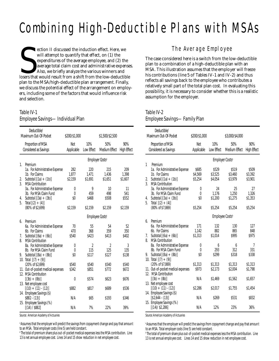# Combining High-Deductible Plans with MSAs

ection II discussed the induction effect. Here, we<br>will attempt to quantify that effect, on (1) the<br>expenditures of the average employee, and (2) the<br>average total claim cost and administrative expense<br>Also, we briefly ana ection II discussed the induction effect. Here, we will attempt to quantify that effect, on (1) the expenditures of the average employee, and (2) the average total claim cost and administrative expenses. Also, we briefly analyze the various winners and plan to the MSA/high-deductible plan arrangement. Finally, we discuss the potential effect of the arrangement on employers, including some of the factors that would influence risk and selection.

### Table IV-1 Employee Savings—Individual Plan

|                | Deductible/<br>Maximum Out-Of-Pocket                | \$200/\$1,000    |                  | \$1,500/\$2,500             |                    |
|----------------|-----------------------------------------------------|------------------|------------------|-----------------------------|--------------------|
|                | Proportion of MSA                                   | Not              | 10%              | 50%                         | 90%                |
|                | Considered as Savings                               | Applicable       | Low Effect       | Medium Effect               | <b>High Effect</b> |
|                |                                                     |                  |                  | Employer Costs <sup>a</sup> |                    |
| 1.             | Premium                                             |                  |                  |                             |                    |
|                | 1a. For Administrative Expense                      | 282              | 220              | 215                         | 209                |
| 2.             | 1b. For Claims<br>Subtotal $[(1a) + (1b)]$          | 1,877<br>\$2,159 | 1,471<br>\$1,691 | 1.436<br>\$1,651            | 1,398<br>\$1,607   |
| $\overline{3}$ | <b>MSA Contribution</b>                             |                  |                  |                             |                    |
|                | 3a For Administrative Expense                       | 0                | 9                | 10                          | 11                 |
|                | 3b. For MSA Claim Fund                              | 0                | 459              | 498                         | 541                |
| 4.             | Subtotal $[(3a) + (3b)]$                            | \$0              | \$468            | \$508                       | \$552              |
| 5.             | Total $[(2) + (4)]$<br>$(80\% \text{ of } $2,699)$  | \$2,159          | \$2,159          | \$2,159                     | \$2,159            |
|                |                                                     |                  | Employee Costsb  |                             |                    |
| 6.             | Premium                                             |                  |                  |                             |                    |
|                | 6a. For Administrative Expense                      | 70               | 55               | 54                          | 52                 |
|                | 6b. For Claims                                      | 470              | 368              | 359                         | 350                |
| 7.<br>8.       | Subtotal $[(6a) + (6b)]$<br><b>MSA Contribution</b> | \$540            | \$423            | \$413                       | \$402              |
|                | 8a. For Administrative Expense                      | 0                | 2                | 2                           | 3                  |
|                | 8b. For MSA Claim Fund                              | 0                | 115              | 125                         | 135                |
| 9.             | Subtotal $[(8a) + (8b)]$                            | \$0              | \$117            | \$127                       | \$138              |
|                | 10. Total $[(7) + (9)]$                             |                  |                  |                             |                    |
|                | (20% of \$2,699)                                    | \$540            | \$540            | \$540                       | \$540              |
|                | 11. Out-of-pocket medical expenses                  | \$342            | \$851            | \$772                       | \$672              |
|                | 12. MSA Contribution<br>$[(3b) + (8b)]$             | 0                | \$574            | \$623                       | \$676              |
|                | 13. Net employee cost                               |                  |                  |                             |                    |
|                | $[(10) + (11) - (12)]$                              | \$882            | \$817            | \$689                       | \$536              |
|                | 14. Employee Savings (\$)                           |                  |                  |                             |                    |
|                | $$882 - (13)]$                                      | N/A              | \$65             | \$193                       | \$346              |
|                | 15. Employee Savings (%)                            | N/A              | 7%               | 22%                         | 39%                |
|                | [(14) / \$882]                                      |                  |                  |                             |                    |

*Source: American Academy of Actuaries*

a Assumes that the employer will predict the savings from copayment change and pay that amount to an MSA. Total employer costs (line 5) are held constant.

**The total of premium share plus out-of-pocket medical expenses less the MSA contribution. Line** 13 is net annual employee cost. Lines 14 and 15 show reduction in net employee cost.

# The Average Employee

The case considered here is a switch from the low-deductible plan to a combination of a high-deductible plan with an MSA. This illustration assumes that the employer will freeze his contributions (line 5 of Tables IV-1 and IV-2) and thus reflects all savings back to the employee who contributes a relatively small part of the total plan cost. In evaluating this possibility, it is necessary to consider whether this is a realistic assumption for the employer.

#### Table IV-2 Employee Savings—Family Plan

|                | Deductible/<br>Maximum Out-Of-Pocket                      | \$200/\$1,000     |                             | \$3,000/\$4,000      |                           |
|----------------|-----------------------------------------------------------|-------------------|-----------------------------|----------------------|---------------------------|
|                | Proportion of MSA<br>Considered as Savings                | Not<br>Applicable | 10%<br>Low Effect           | 50%<br>Medium Effect | 90%<br><b>High Effect</b> |
|                |                                                           |                   | Employer Costs <sup>a</sup> |                      |                           |
| 1              | Premium<br>1a. For Administrative Expense                 | \$685             | \$529                       | \$519                | \$509                     |
|                | 1b. For Claims                                            | \$4,569           | \$3,525                     | \$3,460              | \$3,392                   |
| 2.             | Subtotal $[(1a) + (1b)]$                                  | \$5,254           | \$4,054                     | \$3,979              | \$3,901                   |
| $\overline{3}$ | <b>MSA Contribution</b><br>3a. For Administrative Expense | 0                 | 24                          | 25                   | 27                        |
|                | 3b. For MSA Claim Fund                                    | $\theta$          | 1,176                       | 1,250                | 1,326                     |
| 4.             | Subtotal $[(3a) + (3b)]$                                  | \$0               | \$1,200                     | \$1,275              | \$1,353                   |
| 5.             | Total $[(2) + (4)]$                                       |                   |                             |                      |                           |
|                | (80% of \$7,869)                                          | \$5,254           | \$5,254                     | \$5,254              | \$5,254                   |
|                |                                                           |                   | Employee Costs <sup>b</sup> |                      |                           |
| 6.             | Premium<br>6a. For Administrative Expense                 | 171               | 132                         | 130                  | 127                       |
|                | 6b. For Claims                                            | 1.142             | 882                         | 865                  | 848                       |
| 7.             | Subtotal $[(6a) + (6b)]$                                  | \$1,313           | \$1,014                     | \$995                | \$975                     |
| 8.             | <b>MSA Contribution</b>                                   |                   |                             |                      |                           |
|                | 8a. For Administrative Expense<br>8b. For MSA Claim Fund  | 0<br>0            | 6<br>293                    | 6<br>312             | 7<br>331                  |
| 9.             | Subtotal $[(8a) + (8b)]$                                  | \$0               | \$299                       | \$318                | \$338                     |
|                | 10. Total $[(7) + (9)]$                                   |                   |                             |                      |                           |
|                | (20% of \$7,869)<br>11. Out-of-pocket medical expenses    | \$1,313<br>\$973  | \$1,313                     | \$1,313              | \$1,313                   |
|                | 12. MSA Contribution                                      |                   | \$2,173                     | \$2,004              | \$1,798                   |
|                | $[(3b) + (8b)]$                                           | N/A               | \$1,469                     | \$1,562              | \$1,657                   |
|                | 13. Net employee cost                                     |                   |                             |                      |                           |
|                | $[(10) + (11) - (12)]$<br>14. Employee Savings (\$)       | \$2.286           | \$2,017                     | \$1,755              | \$1,454                   |
|                | $[$2,644 - (13)]$                                         | N/A               | \$269                       | \$531                | \$832                     |
|                | 15. Employee Savings (%)                                  |                   |                             |                      |                           |
|                | [(14)/ \$2,286]                                           | N/A               | 12%                         | 23%                  | 36%                       |

*Source: American Academy of Actuaries*

a Assumes that the employer will predict the savings from copayment change and pay that amount to an MSA. Total employer costs (line 5) are held constant.

b The total of premium share plus out-of-pocket medical expenses less the MSA contribution. Line 13 is net annual employee cost. Lines 14 and 15 show reduction in net employee cost.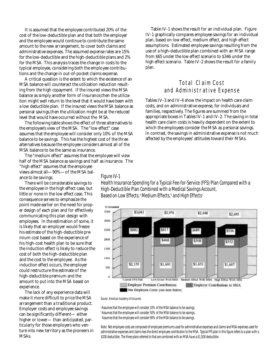It is assumed that the employee contributed 20% of the cost of the low-deductible plan and that both the employer and the employee would continue to contribute the same amount to the new arrangement, to cover both claims and administrative expenses. The assumed expense rates are 15% for the low-deductible and the high-deductible plans and 2% for the MSA. This analysis traces the change in costs to the typical employee, considering both the employee contributions and the change in out-of-pocket claims expense.

A critical question is the extent to which the existence of an MSA balance will counteract the utilization reduction resulting from the high copayment. If the insured views the MSA balance as simply another form of insurance, then the utilization might well return to the level that it would have been with a low deductible plan. If the insured views the MSA balance as personal savings, then the utilization might be at the reduced level that would have occurred without the MSA.

The following table shows the effect of three alternatives to the employee's view of the MSA. The "low effect" case assumes that the employee will consider only 10% of the MSA balance to be savings. This has the highest cost of the three alternatives because the employee considers almost all of the MSA balance to be the same as insurance.

The "medium effect" assumes that the employee will view half of the MSA balance as savings and half as insurance. The "high effect" assumes that the employee views almost all—90%—of the MSA balance to be savings. Figure IV-1

There will be considerable savings to the employee in the high effect case, but little or none in the low effect case. This consequence serves to emphasize the point made earlier on the need for proper design of each plan and for effectively communicating this plan design with employees. In the estimation of some, it is likely that an employer would freeze his estimate of the high-deductible premium cost based on the experience of his high-cost health plan to be sure that the induction effect is likely to reduce the cost of both the high-deductible plan and the cost to the employee. As the induction effect occurs, the employer could restructure the estimate of the high-deductible premium and the amount to put into the MSA based on experience.

The lack of any experience data will make it more difficult to price the MSA arrangement than a traditional product. Employer costs and employee savings can be significantly different— either higher or lower— than anticipated, particularly for those employers who venture into new territory as the pioneers in MSAs.

Table IV-1 shows the result for an individual plan. Figure IV-1 graphically compares employee savings for an individual plan, based on low effect, medium effect, and high effect assumptions. Estimated employee savings resulting from the use of a high-deductible plan combined with an MSA range from \$65 under the low effect scenario to \$346 under the high effect scenario. Table IV-2 shows the result for a family plan.

# Total Claim Cost and Administrative Expense

Tables IV-3 and IV-4 show the impact on health care claim costs, and on administrative expense, for individuals and families, respectively. The figures are summed from the appropriate boxes in Tables IV-1 and IV-2. The saving in total health care claim costs is heavily dependent on the extent to which the employees consider the MSA as personal savings. In contrast, the savings in administrative expense is not much affected by the employees' attitudes toward their MSAs.

Health Insurance Spending for a Typical Fee-for-Service (FFS) Plan Compared with a High-Deductible Plan Combined with a Medical Savings Account, Based on Low Effects, $^\text{a}$  Medium Effects, $^\text{b}$  and High Effects $^\text{c}$ 



*Source: American Academy of Actuaries*

a Assumes that the employee will consider 10% of the MSA balance to be savings. b Assumes that the employee will consider 50% of the MSA balance to be savings. c Assumes that the employee will consider 90% of the MSA balance to be savings.

Note: Net employee costs are composed of employee premiums used for administrative expenses and claims and MSA expenses used for administrative expenses and claims less the direct employee contribution to the MSA. Typical FFS plan in this figure refers to a plan with a \$200 deductible. The three plans referred to that are combined with an MSA have a \$1,500 deductible.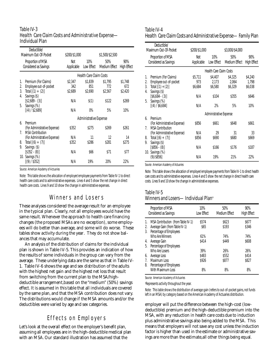#### Table IV-3 Health Care Claim Costs and Administrative Expense— Individual Plan

|                      | Deductible/<br>Maximum Out-Of-Pocket                                                  | \$200/\$1,000             |                           | \$1,500/\$2,500           |                           |
|----------------------|---------------------------------------------------------------------------------------|---------------------------|---------------------------|---------------------------|---------------------------|
|                      | Proportion of MSA<br>Considered as Savings                                            | Not<br>Applicable         | 10%<br>Low Effect         | 50%<br>Medium Effect      | 90%<br><b>High Effect</b> |
|                      |                                                                                       |                           | Health Care Claim Costs   |                           |                           |
| 1.<br>2.<br>3.<br>4. | Premium (For Claims)<br>Employee out-of-pocket<br>Total $[(1) + (2)]$<br>Savings (\$) | \$2,347<br>342<br>\$2,689 | \$1,839<br>851<br>\$2,690 | \$1,795<br>772<br>\$2,567 | \$1,748<br>672<br>\$2,420 |
| 5.                   | $[$2,689 - (3)]$<br>Savings (%)<br>[(4) / \$2,689]                                    | N/A<br>N/A                | \$(1)<br>$0\%$            | \$122<br>5%               | \$269<br>10%              |
|                      |                                                                                       |                           | Administrative Expense    |                           |                           |
| 6.<br>$7_{\cdot}$    | Premium<br>(For Administrative Expense)<br><b>MSA Contribution</b>                    | \$352                     | \$275                     | \$269                     | \$261                     |
| 8.<br>9.             | (For Administrative Expense)<br>Total $[(6) + (7)]$<br>Savings (\$)                   | N/A<br>\$352              | 11<br>\$286               | 12<br>\$281               | 14<br>\$275               |
|                      | $[$352 - (8)]$<br>10. Savings (%)                                                     | N/A                       | \$66                      | \$71                      | \$77                      |
|                      | [(9) / \$352]                                                                         | N/A                       | 19%                       | 20%                       | 22%                       |

*Source: American Academy of Actuaries*

Note: This table shows the allocation of employer/employee payments from Table IV-1 to direct health care costs and to administrative expenses. Lines 4 and 5 show the net change in direct health care costs. Lines 9 and 10 show the change in administrative expenses.

# Winners and Losers

These analyses considered the average result for an employee in the typical plan. Clearly, not all employees would have the same result. Whenever the approach to health care financing changes (the proposed MSAs are no exception), some employees will do better than average, and some will do worse. These tables show activity during the year. They do not show balances that may accumulate.

An analysis of the distribution of claims for the individual plan is shown in Table IV-5. This provides an indication of how the results of some individuals in the group can vary from the average. These underlying data are the same as that in Table IV-1. Table IV-6 shows the age and sex distribution of the adults with the highest net gain and the highest net loss that result from switching from the current plan to the MSA/highdeductible arrangement, based on the "medium" (50%) savings effect. It is assumed in this table that all individuals are covered by the same plan, and that the MSA contribution does not vary. The distributions would change if the MSA amounts and/or the deductibles were varied by age and sex categories.

# Effects on Employers

Let's look at the overall effect on the employer's benefit plan, assuming all employees are in the high-deductible medical plan with an MSA. Our standard illustration has assumed that the

#### Table IV-4 Health Care Claim Costs and Administrative Expense—Family Plan

|                      | Deductible/<br>Maximum Out-Of-Pocket                                                                 | \$200/\$1,000             |                              | \$3,000/\$4,000             |                             |
|----------------------|------------------------------------------------------------------------------------------------------|---------------------------|------------------------------|-----------------------------|-----------------------------|
|                      | Proportion of MSA<br>Considered as Savings                                                           | Not<br>Applicable         | 10%<br>Low Effect            | 50%<br>Medium Effect        | 90%<br><b>High Effect</b>   |
|                      |                                                                                                      |                           | Health Care Claim Costs      |                             |                             |
| 1.<br>2.<br>3.<br>4. | Premium (For Claims)<br>Employee out-of-pocket<br>Total $[(1) + (2)]$<br>Savings (\$)                | \$5,711<br>973<br>\$6,684 | \$4,407<br>2,173<br>\$6,580  | \$4,325<br>2.064<br>\$6,329 | \$4,240<br>1.798<br>\$6,038 |
| 5.                   | $[$6,684 - (3)]$<br>Savings (%)                                                                      | N/A                       | \$104                        | \$355                       | \$646                       |
|                      | [(4) / \$6,684]                                                                                      | N/A                       | 2%<br>Administrative Expense | 5%                          | 10%                         |
| 6.                   | Premium                                                                                              |                           |                              |                             |                             |
| $7_{.}$              | (For Administrative Expense)<br><b>MSA Contribution</b>                                              | \$856                     | \$661                        | \$648                       | \$661                       |
| 8.<br>9.             | (For Administrative Expense)<br>Total $[(6) + (7)]$<br>Savings (\$)<br>$[$856 - (8)]$<br>Savings (%) | N/A<br>\$856              | 29<br>\$690                  | 31<br>\$680                 | 33<br>\$669                 |
| 10.                  |                                                                                                      | N/A                       | \$166                        | \$176                       | \$187                       |
|                      | (9)/\$856]                                                                                           | N/A                       | 19%                          | 21%                         | 22%                         |

Source: American Academy of Actuaries

Note: This table shows the allocation of employer/employee payments from Table IV-1 to direct health care costs and to administrative expenses. Lines 4 and 5 show the net change in direct health care costs. Lines 9 and 10 show the change in administrative expenses.

#### Table IV-5 Winners and Losers-Individual Plan<sup>a</sup>

|                | Proportion of MSA<br>Considered as Savings                                                      | 10%<br>Low Effect     | 50%<br>Medium Effect  | 90%<br><b>High Effect</b> |
|----------------|-------------------------------------------------------------------------------------------------|-----------------------|-----------------------|---------------------------|
| 1.<br>2.<br>3. | MSA Contribution (from Table IV-1)<br>Average Gain (from Table IV-1)<br>Percentage of Employees | \$574<br>\$65         | \$623<br>\$193        | \$677<br>\$346            |
| 4.<br>5.       | Who Are Winners<br>Average Gain<br>Percentage of Employees                                      | 61%<br>\$414          | 74%<br>\$449          | 74%<br>\$608              |
| 6.<br>7.       | Who Are Losers<br>Average Loss<br>Maximum Loss                                                  | 39%<br>\$483<br>\$926 | 26%<br>\$552<br>\$877 | 26%<br>\$414<br>\$827     |
| 8.             | Percentage of Employees<br>With Maximum Loss                                                    | 8%                    | 8%                    | 8%                        |

*Source: American Academy of Actuaries*

a Represents activity throughout the year.

Note: This table shows the distribution of average gain (refers to out-of-pocket gains,not funds left in an MSA) by category based on the American Academy of Actuaries distribution.

employer will put the difference between the high-cost (lowdeductible) premium and the high-deductible premium into the MSA, with any reduction in health care costs due to induction plus administrative savings also being added to the MSA. This means that employers will not save any cost unless the induction factor is higher than used in the estimate or administrative savings are more than the estimate, all other things being equal.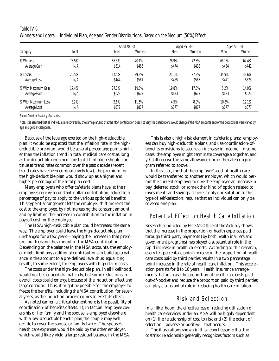#### Table IV-6 Winners and Losers—Individual Plan, Age and Gender Distributions, Based on the Medium (50%) Effect

| Category            | Aged 20-34<br>Total<br>Men |       | Women | Aged 35-49<br>Women<br>Men |       | Aged 50-64<br>Men | Women |
|---------------------|----------------------------|-------|-------|----------------------------|-------|-------------------|-------|
| % Winners           | 73.5%                      | 85.5% | 70.1% | 78.9%                      | 72.8% | 65.1%             | 67.4% |
| Average Gain        | N/A                        | \$514 | \$465 | \$474                      | \$438 | \$434             | \$442 |
| % Losers            | 26.5%                      | 14.5% | 29.9% | 21.1%                      | 27.2% | 34.9%             | 32.6% |
| Average Loss        | N/A                        | \$444 | \$561 | \$465                      | \$565 | \$471             | \$573 |
| % With Maximum Gain | 17.4%                      | 27.7% | 19.5% | 19.8%                      | 17.5% | 5.2%              | 14.9% |
| Average Gain        | N/A                        | \$623 | \$623 | \$623                      | \$623 | \$623             | \$623 |
| % With Maximum Loss | 8.2%                       | 2.6%  | 11.5% | 4.5%                       | 8.9%  | 10.8%             | 12.1% |
| Average Loss        | N/A                        | \$877 | \$877 | \$877                      | \$877 | \$877             | \$877 |

*Source: American Academy of Actuaries*

Note: It is assumed that all individuals are covered by the same plan,and that the MSA contribution does not vary. The distributions would change if the MSA amounts and/or the deductibles were varied by age and gender categories.

Because of the leverage exerted on the high-deductible plan, it would be expected that the inflation rate in the highdeductible premium would be several percentage points higher than the inflation trend in total medical care cost,as long as the deductible remained constant. If inflation should continue at trend rates common over the past decade (recent trend rates have been comparatively low), the premium for the high-deductible plan would show up as a higher and higher percentage of the total plan cost.

Many employers who offer cafeteria plans have let their employees receive a constant-dollar contribution, added to a percentage of pay to apply to the various optional benefits. This type of arrangement lets the employer shift more of the cost to the employee, by not increasing the constant amount and by limiting the increase in contribution to the inflation in payroll cost for the employee.

The MSA/high-deductible plan could be treated the same way. The employer could leave the high-deductible plan unchanged for a few years—paying the increase in that premium, but freezing the amount of the MSA contribution. Depending on the balances in the MSA accounts, the employer might limit any additional contributions to build up a balance in the account to a pre-defined level, thus equalizing results, to some extent, for employees with high claim costs.

The costs under the high-deductible plan, in all likelihood, would not be reduced dramatically, but some reductions in overall costs could emerge because of the induction effect and large corridor. Thus, it might be possible for the employer to freeze the benefits, including the MSA contribution, for several years, as the induction process comes to exert its effect.

As noted earlier, a critical element here is the possibility of coordination-of-benefits offsets. If, in fact,an employee covers his or her family and the spouse is employed elsewhere with a low-deductible benefit plan,the couple may well decide to cover the spouse or family twice. The spouse's health care expenses would be paid by the other employer, which would likely yield a large residual balance in the MSA.

This is also a high-risk element in cafeteria plans: employees can buy high-deductible plans, and use coordination-ofbenefits provisions to secure an increase in income. In some cases, the employee might terminate coverage altogether, and yet still receive the same allowance under the cafeteria program referred to above.

In this case, most of the employee's cost of health care would be transferred to another employer, which would permit the current employer to give the employee an increase in pay, deferred stock, or some other kind of option related to investments and savings. There is only one solution to this type of self-selection: require that an individual can only be covered one plan.

# Potential Effect on Health Care Inflation

Research conducted by HCFA's Office of the Actuary shows that the increase in the proportion of health expenses paid through third-party payments (by both health insurers and government programs) has played a substantial role in the rapid increase in health care costs. According to this research, every ten percentage point increase in the proportion of health care costs paid by third parties results in a two percentage point increase in the rate of health care inflation. This acceleration persists for 8 to 10 years. Health insurance arrangements that increase the proportion of health care costs paid out-of-pocket and reduce the proportion paid by third parties can play a substantial role in reducing health care inflation.

## Risk and Selection

In all likelihood, the effectiveness of reducing utilization of health care services under an MSA will be highly dependent on (1) the relationship of cost to risk and (2) the extent of selection—adverse or positive—that occurs.

The illustrations shown in this report assume that the cost/risk relationship generally recognizes factors such as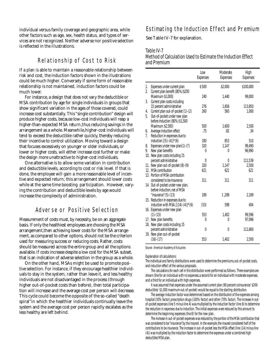individual versus family coverage and geographic area, while other factors such as age, sex, health status, and types of services are not recognized. Neither adverse nor positive selection is reflected in the illustrations.

### Relationship of Cost to Risk

If a plan is able to maintain a reasonable relationship between risk and cost, the induction factors shown in the illustrations could be much higher. Conversely if some form of reasonable relationship is not maintained, induction factors could be much lower.

For instance, a design that does not vary the deductible or MSA contribution by age for single individuals in groups that show significant variation in the ages of those covered, could increase cost substantially. This "single contribution" design will produce higher costs, because low-cost individuals will reap a higher-than-expected MSA return, thus reducing savings in the arrangement as a whole. Meanwhile, higher-cost individuals will tend to exceed the deductible rather quickly, thereby reducing their incentive to control utilization. Moving toward a design that focuses excessively on younger or older individuals, or lower or higher costs, will either increase cost further or make the design more unattractive to higher-cost individuals.

One alternative is to allow some variation in contribution and deductible levels, according to cost or risk level. If that is done, the employee will gain a more reasonable level of incentive and expected return; this arrangement should lower costs while at the same time boosting participation. However, varying the contribution and deductible levels by age would increase the complexity of administration.

# Adverse or Positive Selection

Measurement of costs must, by necessity, be on an aggregate basis. If only the healthiest employees are choosing the MSA arrangement, then achieving lower costs for the MSA arrangement, as compared to other options, should not be the criterion used for measuring success or reducing costs. Rather, costs should be measured across the entire group and all the options available. If costs increase despite a low cost for the MSA subset, that is an indication of adverse selection in the group as a whole.

On the other hand, MSAs might be used to promote positive selection. For instance, if they encourage healthier individuals to stay in the system, rather than leave it, and less healthy individuals are not disadvantaged in the process (through higher out-of-pocket costs than before), then total participation will increase and the average cost per person will decrease. This cycle could become the opposite of the so-called "death spiral"in which the healthier individuals continually leave the system and the average cost per person rapidly escalates as the less healthy are left behind.

#### Estimating the Induction Effect and Premium

See Table IV-7 for explanation.

#### Table IV-7

#### Method of Calculation Used to Estimate the Induction Effect and Premium

|          |                                                                                                     | Low<br><b>Expenses</b> | Moderate<br>Expenses | High<br>Expenses |
|----------|-----------------------------------------------------------------------------------------------------|------------------------|----------------------|------------------|
| 1.<br>2. | Expenses under current plan<br>Current plan benefit (80%/\$200                                      | \$500                  | \$2,000              | \$100,000        |
| 3.       | Maximum \$1,000)<br>Current plan costs including                                                    | 240                    | 1,440                | 99,000           |
|          | 15 percent administrative                                                                           | 276                    | 1,656                | 113,850          |
| 4.<br>5. | Current plan out-of-pocket (1)-(2)<br>Out-of-pocket under new plan<br>before induction (80%/\$1,500 | 260                    | 560                  | 1,000            |
|          | Maximum \$2,500)                                                                                    | 500                    | 1,600                | 2,500            |
| 6.<br>7. | Average induction effect<br>Reduction in expenses due to                                            | .75                    | .82                  | .34              |
|          | induction $[(5)-(4)]*(6)$                                                                           | 180                    | 853                  | 510              |
| 8.       | Expenses under new plan(1)-(7)                                                                      | 320                    | 1,147                | 99,490           |
| 9.       | New plan benefits                                                                                   | 0                      | $\theta$             | 96,990           |
| 10.      | New plan costs including 15                                                                         |                        |                      |                  |
|          | percent administrative                                                                              | 0                      | $\theta$             | 111.539          |
|          | 11. New plan out-of-pocket (8)-(9)                                                                  | 320                    | 1.147                | 2,500            |
|          | 12. MSA contribution                                                                                | 621                    | 621                  | 621              |
|          | 13. Portion of MSA contribution<br>considered to be insurance                                       | 311                    | 311                  | 311              |
|          | 14. Out-of-pocket under new plan,<br>before induction, net of MSA                                   |                        |                      |                  |
|          | "insurance" $(5)-(13)$                                                                              | 189                    | 1,289                | 2,189            |
|          | 15. Reduction in expenses due to<br>induction with MSA. $[(14)-(4)]*(6)$                            | (53)                   | 598                  | 404              |
|          | 16. Expenses under new plan<br>$(1)-(15)$                                                           | 553                    | 1,402                | 99.596           |
|          | 17. New plan benefits<br>18. New plan costs including 15                                            | 0                      | $\theta$             | 97,096           |
|          | percent administrative<br>19. New plan out-of-pocket                                                | 0                      | 0                    | 111,660          |
|          | $(16)-(17)$                                                                                         | 553                    | 1,402                | 2,500            |

*Source: American Academy of Actuaries*

Explanation of calculations:

The individual and family distributions were used to determine the premiums, out-of-pocket costs, and induction effect of the various proposals.

The calculations for each cell in the distribution were performed as follows. Three examples are shown: One for an individual with no expenses, a second for an individual with moderate expenses, and a third for an individual with high expenses.

It was assumed that expenses under the assumed current plan (80 percent coinsurance/ \$200 deductible/ \$1,000 maximum out-of-pocket) would be equal to the starting distribution.

The average induction factor was determined based on the distribution of the expenses among hospital (30% factor), prescription drugs (100% factor) and other (70% factor). The increase in outof-pocket expenses (line 5 minus line 4) was multiplied by the induction factor (line 6) to determine the reduction in expenses due to induction. The initial expenses were reduced by this amount to determine the beginning expenses (line 8) for the new plan.

The increase in out-of-pocket expenses was reduced by the portion of the MSA contribution that was considered to be "insurance" by the insured. In the example, the insured considered half of the contributions to be insurance. The increase in out-of-pocket less the MSA offset (line (14) minus line (4)) was multiplied by the induction factor to determine the expenses under a combined high deductible/MSA plan.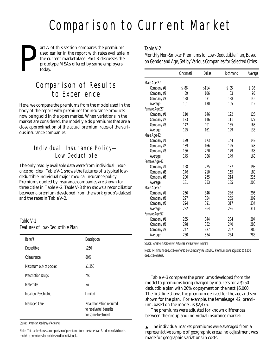# Comparison to Current Market

P art A of this section compares the premiums used earlier in the report with rates available in the current marketplace. Part B discusses the prototype MSAs offered by some employers today.

# Comparison of Results to Experience

Here, we compare the premiums from the model used in the body of the report with premiums for insurance products now being sold in the open market. When variations in the market are considered, the model yields premiums that are a close approximation of the actual premium rates of the various insurance companies.

# Individual Insurance Policy— Low Deductible

The only readily available data were from individual insurance policies. Table V-1 shows the features of a typical lowdeductible individual major medical insurance policy. Premiums quoted by insurance companies are shown for three cities in Table V-2. Table V-3 then shows a reconciliation between a premium developed from the work group's dataset and the rates in Table V-2.

## Table V-1 Features of Low-Deductible Plan

| <b>Benefit</b>        | Description                                                                 |
|-----------------------|-----------------------------------------------------------------------------|
| Deductible            | \$250                                                                       |
| Coinsurance           | 80%                                                                         |
| Maximum out-of pocket | \$1,250                                                                     |
| Prescription Drugs    | Yes                                                                         |
| Maternity             | No                                                                          |
| Inpatient Psychiatric | I imited                                                                    |
| Managed Care          | Preauthorization required<br>to receive full benefits<br>for some treatment |

*Source: American Academy of Actuaries*

Note: This table shows a comparison of premiums from the American Academy of Actuaries model to premiums for policies sold to individuals.

#### Table V-2

Monthly Non-Smoker Premiums for Low-Deductible Plan, Based on Gender and Age, Set by Various Companies for Selected Cities

|               | Cincinnati | Dallas | Richmond | Average |
|---------------|------------|--------|----------|---------|
| Male Age 27   |            |        |          |         |
| Company #1    | \$86       | \$114  | \$95     | \$98    |
| Company #2    | 89         | 106    | 83       | 93      |
| Company #3    | 128        | 171    | 138      | 146     |
| Average       | 101        | 130    | 105      | 112     |
| Female Age 27 |            |        |          |         |
| Company #1    | 110        | 146    | 122      | 126     |
| Company #2    | 123        | 146    | 111      | 127     |
| Company #3    | 142        | 191    | 155      | 163     |
| Average       | 125        | 161    | 129      | 138     |
| Male Age 42   |            |        |          |         |
| Company #1    | 129        | 173    | 144      | 149     |
| Company #2    | 139        | 166    | 125      | 143     |
| Company #3    | 166        | 220    | 179      | 188     |
| Average       | 145        | 186    | 149      | 160     |
| Female Age 42 |            |        |          |         |
| Company #1    | 168        | 225    | 187      | 193     |
| Company #2    | 176        | 210    | 155      | 180     |
| Company #3    | 200        | 265    | 214      | 226     |
| Average       | 181        | 233    | 185      | 200     |
| Male Age 57   |            |        |          |         |
| Company #1    | 256        | 346    | 286      | 296     |
| Company #2    | 297        | 354    | 255      | 302     |
| Company #3    | 294        | 391    | 317      | 334     |
| Average       | 282        | 364    | 286      | 311     |
| Female Age 57 |            |        |          |         |
| Company #1    | 255        | 344    | 284      | 294     |
| Company #2    | 278        | 332    | 240      | 283     |
| Company #3    | 247        | 327    | 267      | 280     |
| Average       | 260        | 334    | 264      | 286     |

*Source: American Academy of Actuaries and survey of insurers*

Note: Minimum deductible offered by Company #2 is \$500. Premiums are adjusted to \$250 deductible basis.

Table V-3 compares the premiums developed from the model to premiums being charged by insurers for a \$250 deductible plan with 20% copayment on the next \$5,000. The first line shows the premium derived for the age and sex shown for the plan. For example, the female,age 42, premium, based on the model, is \$2,476.

The premiums were adjusted for known differences between the group and individual insurance market:

 $\triangle$  The individual market premiums were averaged from a representative sample of geographic areas; no adjustment was made for geographic variations in costs.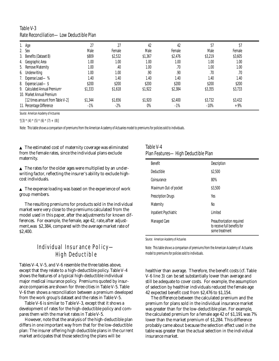### Table V-3 Rate Reconciliation—Low Deductible Plan

| i. Age                                    | 27      | 27      | 42      | 42       | 57      | 57      |  |
|-------------------------------------------|---------|---------|---------|----------|---------|---------|--|
| 2. Sex                                    | Male    | Female  | Male    | Female   | Male    | Female  |  |
| 3. Benefits (Dataset B)                   | \$809   | \$2,532 | \$1,367 | \$2,476  | \$3,219 | \$3,605 |  |
| 4. Geographic Area                        | 1.00    | 1.00    | 1.00    | $1.00\,$ | 1.00    | 1.00    |  |
| 5. Remove Maternity                       | 1.00    | .40     | 1.00    | .70      | 1.00    | 1.00    |  |
| 6. Underwriting                           | 1.00    | 1.00    | .90     | .90      | .70     | .70     |  |
| 7. Expense Load-%                         | 1.40    | 1.40    | 1.40    | 1.40     | 1.40    | 1.40    |  |
| 8. Expense Load-\$                        | \$200   | \$200   | \$200   | \$200    | \$200   | \$200   |  |
| 9. Calculated Annual Premium <sup>a</sup> | \$1,333 | \$1,618 | \$1,922 | \$2,384  | \$3,355 | \$3,733 |  |
| 10. Market Annual Premium                 |         |         |         |          |         |         |  |
| [12 times amount from Table V-2]          | \$1,344 | \$1.656 | \$1,920 | \$2,400  | \$3,732 | \$3,432 |  |
| 11. Percentage Difference                 | $-1%$   | $-2\%$  | $0\%$   | $-1\%$   | $-10%$  | $+9%$   |  |

*Source: American Academy of Actuaries*

a [(3) \* (4) \* (5) \* (6) \* (7) + (8)]

Note: This table shows a comparison of premiums from the American Academy of Actuaries model to premiums for policies sold to individuals.

▲ The estimated cost of maternity coverage was eliminated from the female rates, since the individual plans exclude maternity.

 $\blacktriangle$  The rates for the older ages were multiplied by an underwriting factor, reflecting the insurer's ability to exclude highcost individuals.

 $\triangle$  The expense loading was based on the experience of work group members.

The resulting premiums for products sold in the individual market were very close to the premiums calculated from the model used in this paper, after the adjustments for known differences. For example, the female, age 42, rate,after adjustment,was \$2,384, compared with the average market rate of \$2,400.

# Individual Insurance Policy— High Deductible

Tables V-4, V-5, and V-6 resemble the three tables above, except that they relate to a high-deductible policy. Table V-4 shows the features of a typical high-deductible individual major medical insurance policy. Premiums quoted by insurance companies are shown for three cities in Table V-5. Table V-6 then shows a reconciliation between a premium developed from the work group's dataset and the rates in Table V-5.

Table V-6 is similar to Table V-3, except that it shows a development of rates for the high-deductible policy and compares them with the market rates in Table V-5.

However, note that the analysis of the high-deductible plan differs in one important way from that for the low-deductible plan: The insurer offering high deductible plans in the current market anticipates that those sele cting the plans will be

### Table V-4 Plan Features—High Deductible Plan

| <b>Benefit</b>            | Description                                                                 |
|---------------------------|-----------------------------------------------------------------------------|
|                           |                                                                             |
| Deductible                | \$2,500                                                                     |
| Coinsurance               | 80%                                                                         |
| Maximum Out-of pocket     | \$3,500                                                                     |
| <b>Prescription Drugs</b> | Yes                                                                         |
| Maternity                 | No                                                                          |
| Inpatient Psychiatric     | I imited                                                                    |
| Managed Care              | Preauthorization required<br>to receive full benefits for<br>some treatment |

*Source: American Academy of Actuaries*

Note: This table shows a comparison of premiums from the American Academy of Actuaries model to premiums for policies sold to individuals.

healthier than average. Therefore, the benefit costs (cf. Table V-6 line 3) can be set substantially lower than average and still be adequate to cover costs. For example, the assumption of selection by healthier individuals reduced the female age 42 expected benefit cost from \$2,476 to \$1,154.

The difference between the calculated premium and the premium for plans sold in the individual insurance market was greater than for the low-deductible plan. For example, the calculated premium for a female age 42 of \$1,191 was 7% lower than the market premium of \$1,284. This difference probably came about because the selection effect used in the table was greater than the actual selection in the individual insurance market.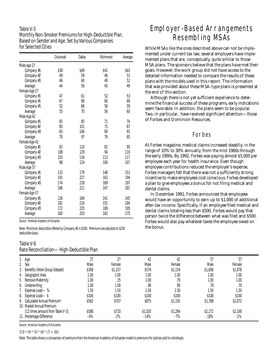## Table V-5 Monthly Non-Smoker Premiums for High-Deductible Plan, Based on Gender and Age, Set by Various Companies for Selected Cities

|               | Cincinnati | Dallas | Richmond | Average |
|---------------|------------|--------|----------|---------|
| Male age 27   |            |        |          |         |
| Company #1    | \$38       | \$49   | \$41     | \$43    |
| Company #2    | 49         | 59     | 46       | 51      |
| Company #3    | 46         | 60     | 49       | 52      |
| Average       | 44         | 56     | 45       | 49      |
| Female Age 27 |            |        |          |         |
| Company #1    | 47         | 61     | 52       | 53      |
| Company #1    | 67         | 80     | 60       | 69      |
| Company #1    | 52         | 68     | 56       | 59      |
| Average       | 55         | 70     | 56       | 60      |
| Male Age 42   |            |        |          |         |
| Company #1    | 65         | 85     | 71       | 74      |
| Company #2    | 85         | 101    | 75       | 87      |
| Company #3    | 83         | 106    | 90       | 93      |
| Average       | 78         | 97     | 79       | 85      |
| Female Age 42 |            |        |          |         |
| Company #1    | 83         | 110    | 92       | 95      |
| Company #2    | 108        | 129    | 94       | 110     |
| Company #3    | 103        | 134    | 113      | 117     |
| Average       | 98         | 124    | 100      | 107     |
| Male Age 57   |            |        |          |         |
| Company #1    | 133        | 179    | 148      | 153     |
| Company #2    | 191        | 227    | 163      | 194     |
| Company #3    | 174        | 228    | 189      | 197     |
| Average       | 166        | 211    | 167      | 181     |
| Female Age 57 |            |        |          |         |
| Company #1    | 126        | 169    | 141      | 145     |
| Company #2    | 181        | 216    | 155      | 184     |
| Company #3    | 172        | 225    | 189      | 195     |
| Average       | 160        | 203    | 162      | 175     |

Source: American Academy of Actuaries

Note: Minimum deductible offered by Company #2 is \$500. Premiums are adjusted to \$250 deductible basis.

#### Table V-6 Rate Reconciliation—High-Deductible Plan

# Employer-Based Arrangements Resembling MSAs

While MSAs like the ones described above can not be implemented under current tax law, several employers have implemented plans that are, conceptually, quite similar to those MSA plans. The sponsors believe that the plans have met their goals. However, the work group did not have access to the detailed information needed to compare the results of these plans with the models used in this report. The information that was provided about these MSA-type plans is presented at the end of this section.

Although there is not yet sufficient experience to determine the financial success of these programs, early indications seem favorable. In addition, the plans seem to be popular. Two, in particular, have received significant attention—those of Forbes and Dominion Resources.

#### **Forbes**

At *Forbes* magazine, medical claims increased steadily, in the range of 10% to 30% annually, from the mid-1980s through the early 1990s. By 1992, *Forbes* was paying almost \$5,000 per employee each year for health insurance. Even though employee contributions reduced the employer's expense, *Forbes* managers felt that there was not a sufficiently strong incentive to make employees cost conscious. *Forbes* developed a plan to give employees a bonus for not filing medical and dental claims.

In December 1991, *Forbes* announced that employees would have an opportunity to earn up to \$1,000 of additional after-tax income. Specifically, if an employee filed medical and dental claims totaling less than \$500, *Forbes* would pay that person twice the difference between what was filed and \$500. *Forbes* would also pay whatever taxes the employee owed on the bonus.

| <b>INGLY INVOVITATION</b><br><b>THALL PARAMENTAL INTE</b> |       |         |         |         |         |         |  |
|-----------------------------------------------------------|-------|---------|---------|---------|---------|---------|--|
| 1. Age                                                    | 27    |         | 42      | 42      | 57      | 57      |  |
| 2. Sex                                                    | Male  | Female  | Male    | Female  | Male    | Female  |  |
| 3. Benefits (Work Group Dataset)                          | \$308 | \$1,157 | \$574   | \$1,154 | \$1,608 | \$1,878 |  |
| 4. Geographic Area                                        | 1.00  | 1.00    | 1.00    | 1.00    | 1.00    | 1.00    |  |
| 5. Remove Maternity                                       | 1.00  | .35     | 1.00    | .70     | 1.00    | 1.00    |  |
| 6. Underwriting                                           | 1.00  | 1.00    | .90     | .90     | .70     | .70     |  |
| 7. Expense Load-%                                         | 1.50  | 1.50    | 1.50    | 1.50    | 1.50    | 1.50    |  |
| 8. Expense Load-\$                                        | \$100 | \$100   | \$100   | \$100   | \$100   | \$100   |  |
| 9. Calculated Annual Premium <sup>a</sup>                 | \$562 | \$707   | \$875   | \$1,191 | \$1,788 | \$2,072 |  |
| 10. Market Annual Premium                                 |       |         |         |         |         |         |  |
| [12 times amount from Table V-5]                          | \$588 | \$720   | \$1,020 | \$1,284 | \$2,172 | \$2,100 |  |
| 11. Percentage Difference                                 | -4%   | $-2\%$  | $-14%$  | $-7%$   | $-18%$  | $-1\%$  |  |

Source: American Academy of Actuaries

 $\mathbb{P}[(3) \times (4) \times (5) \times (6) \times (7) + (8)]$ 

Note: This table shows a comparison of premiums from the American Academy of Actuaries model to premiums for policies sold to individuals.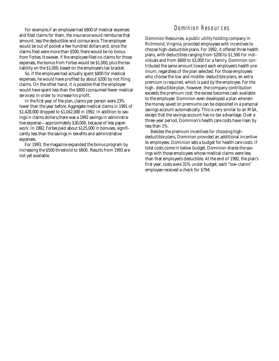For example, if an employee had \$800 of medical expenses and filed claims for them, the insurance would reimburse that a mount, less the deductible and coinsurance. The employee would be out of pocket a few hundred dollars and, since the claims filed were more than \$500, there would be no bonus from *Forbes*. However, if the employee filed no claims for those expenses, the bonus from *Forbes* would be \$1,000, plus the tax liability on the \$1,000, based on the employee's tax bracket.

So, if the employee had actually spent \$800 for medical expenses, he would have profited by about \$200 by not filing claims. On the other hand, it is possible that the employee would have spent less than the \$800 (consumed fewer medical services) in order to increase his profit.

In the first year of the plan, claims per person were 23% lower than the year before. Aggregate medical claims in 1991 of  $$1,428,000$  dropped to  $$1,042,000$  in 1992. In addition to savings in claims dollars, there was a 1992 savings in administrative expense—approximately \$30,000, because of less paperwork. In 1992, *Forbes* paid about \$125,000 in bonuses, significantly less than the savings in benefits and administrative expenses.

For 1993, the magazine expanded the bonus program by increasing the \$500 threshold to \$600. Results from 1993 are not yet available.

### Dominion Resources

Dominion Resources, a public utility holding company in Richmond, Virginia, provided employees with incentives to choose high-deductible plans. For 1992, it offered three health plans, with deductibles ranging from \$200 to \$1,500 for individuals and from \$600 to \$3,000 for a family. Dominion contributed the same amount toward each employee's health premium, regardless of the plan selected. For those employees who choose the low and middle- deductible plans, an extra premium is required, which is paid by the employee. For the high- deductible plan, however, the company contribution exceeds the premium cost; the excess becomes cash available to the employee. Dominion even developed a plan wherein the money saved on premiums can be deposited in a personal savings account automatically. This is very similar to an MSA, except that the savings account has no tax advantage. Over a three-year period, Dominion's health care costs have risen by less than 1%.

Besides the premium incentives for choosing highdeductible plans, Dominion provided an additional incentive to employees. Dominion sets a budget for health care costs. If total costs come in below budget, Dominion shares the savings with those employees whose medical claims were less than that employee's deductible. At the end of 1992, the plan's first year, costs were 31% under budget; each "low-claims" employee received a check for \$794.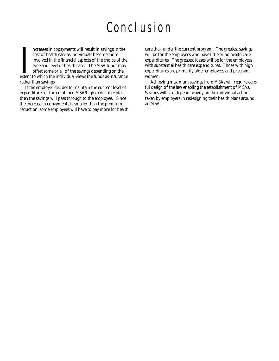# Conclusion

Increases in copayments will result in savings in the<br>cost of health care as individuals become more<br>involved in the financial aspects of the choice of the<br>type and level of health care. The MSA funds may<br>offset some or al ncreases in copayments will result in savings in the cost of health care as individuals become more involved in the financial aspects of the choice of the type and level of health care. The MSA funds may offset some or all of the savings depending on the rather than savings.

If the employer decides to maintain the current level of expenditure for the combined MSA/high deductible plan, then the savings will pass through to the employee. Since the increase in copayments is smaller than the premium reduction, some employees will have to pay more for health care than under the current program. The greatest savings will be for the employees who have little or no health care expenditures. The greatest losses will be for the employees with substantial health care expenditures. Those with high expenditures are primarily older employees and pregnant women.

Achieving maximum savings from MSAs will require careful design of the law enabling the establishment of MSAs. Savings will also depend heavily on the individual actions taken by employers in redesigning their health plans around an MSA.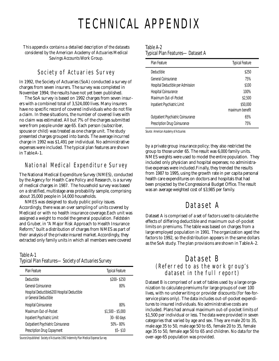# TECHNICAL APPENDIX

*This appendix contains a detailed description of the datasets considered by the American Academy of Actuaries Medical Savings Accounts Work Group.*

# Society of Actuaries Survey

In 1992, the Society of Actuaries (SoA) conducted a survey of charges from seven insurers. The survey was completed in November 1994; the results have not yet been published.

The SoA survey is based on 1992 charges from seven insurers with a combined total of 3,524,000 lives. Many insurers have no specific record of covered individuals who do not file a claim. In these situations, the number of covered lives with no claim was estimated. All but 7% of the charges submitted were from people under age 65. Each person (subscriber, spouse or child) was treated as one charge unit. The study presented charges grouped into bands. The average incurred charge in 1992 was \$1,491 per individual. No administrative expenses were included. The typical plan features are shown in Table A-1.

# National Medical Expenditure Survey

The National Medical Expenditure Survey (NMES), conducted by the Agency for Health Care Policy and Research, is a survey of medical charges in 1987. The household survey was based on a stratified, multistage area probability sample, comprising about 35,000 people in 14,000 households.

NMES was designed to study public policy issues. Accordingly, there was an over sampling of units covered by Medicaid or with no health insurance coverage.Each unit was assigned a weight to model the general population. Feldstein and Gruber, in "A Major Risk Approach to Health Insurance Reform," built a distribution of charges from NMES as part of their analysis of the private insured market. Accordingly, they extracted only family units in which all members were covered

### Table A-1 Typical Plan Features—Society of Actuaries Survey

| Plan Feature                                                          | <b>Typical Feature</b> |
|-----------------------------------------------------------------------|------------------------|
| Deductible                                                            | $$200 - $250$          |
| General Coinsurance                                                   | 80%                    |
| Hospital Deductible\$200 Hospital Deductible<br>or General Deductible |                        |
| Hospital Coinsurance                                                  | 80%                    |
| Maximum Out-of-Pocket                                                 | $$1,500 - $5,000$      |
| Inpatient Psychiatric Limit                                           | 30-60 days             |
| Outpatient Psychiatric Coinsurance                                    | 50%-80%                |
| Prescription Drug Copayment                                           | $$5 - $10$             |
|                                                                       |                        |

*Source:Unpublished Society of Actuaries 1992 Indemnity Plan Medical Expense Survey*

#### Table A-2 Typical Plan Features—Dataset A

| Plan Feature                       | <b>Typical Feature</b>      |
|------------------------------------|-----------------------------|
| Deductible                         | \$250                       |
| General Coinsurance                | 75%                         |
| Hospital Deductible per Admission  | \$100                       |
| Hospital Coinsurance               | 100%                        |
| Maximum Out-of-Pocket              | \$2,500                     |
| Inpatient Psychiatric Limit        | \$50,000<br>maximum benefit |
| Outpatient Psychiatric Coinsurance | 65%                         |
| Prescription Drug Coinsurance      | 75%                         |

*Source: American Academy of Actuaries*

by a private group insurance policy; they also restricted the group to those under 65. The result was 6,000 family units. NMES weights were used to model the entire population. They included only physician and hospital expenses; no administrative expenses were included. Finally, they trended the results from 1987 to 1995, using the growth rate in per capita personal health care expenditures on doctors and hospitals that had been projected by the Congressional Budget Office. The result was an average weighted cost of \$3,985 per family.

# Dataset A

Dataset A is comprised of a set of factors used to calculate the effects of differing deductible and maximum out-of-pocket limits on premiums. The table was based on charges from a large employed population in 1991. The organization aged the factors to 1992, so the distribution appears in the same dollars as the SoA study. The plan provisions are shown in Table A-2.

# Dataset B (Referred to as the work group's dataset in the full report)

Dataset B is comprised of a set of tables used by a large organization to calculate premiums for large groups of over 100 lives, with no underwriting or provider discounts (for fee-forservice plans only). The data includes out-of-pocket expenditures to insured individuals. No administrative costs are included. Plans had annual maximum out-of-pocket limits of \$1,500 per individual or less. The data were provided in seven categories that varied by age and sex. They are male 20 to 35, male age 35 to 50, male age 50 to 65, female 20 to 35, female age 35 to 50, female age 50 to 65 and children. No data for the over-age-65 population was provided.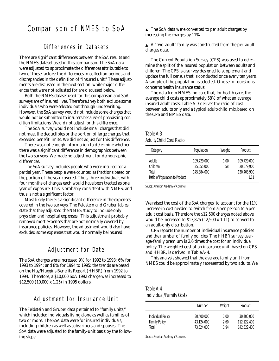# Comparison of NMES to SoA

# Differences in Datasets

There are significant differences between the SoA results and the NMES dataset used in this comparison. The SoA data were adjusted to approximate the differences attributable to two of these factors: the differences in collection periods and discrepancies in the definition of "insured unit." These adjustments are discussed in the next section, while major differences that were not adjusted for are discussed below.

Both the NMES dataset used for this comparison and SoA surveys are of insured lives. Therefore, they both exclude some individuals who were selected out through underwriting. However, the SoA survey would not include some charges that would not be submitted to insurers because of preexisting-condition limitations. We did not adjust for this difference.

The SoA survey would not include small charges that did not meet the deductibles or the portion of large charges that exceeded benefit limits. We did not adjust for this difference.

There was not enough information to determine whether there was a significant difference in demographics between the two surveys. We made no adjustment for demographic differences.

The SoA survey includes people who were insured for a partial year. These people were counted as fractions based on the portion of the year covered. Thus, three individuals with four months of charges each would have been treated as one year of exposure. This is probably consistent with NMES, and thus is not a significant factor.

Most likely there is a significant diff erence in the expenses covered in the two surveys. The Feldstein and Gruber tables state that they adjusted the NMES study to include only physician and hospital expenses. This adjustment probably removed most expenses that are not normally covered by insurance policies. However, the adjustment would also have excluded some expenses that would normally be insured.

# Adjustment for Date

The SoA charges were increased 9% for 1992 to 1993; 6% for 1993 to 1994; and 8% for 1994 to 1995: the trends are based on the Hay/Huggins Benefits Report (HHBR) from 1992 to 1994. Therefore, a \$10,000 SoA 1992 charge was increased to \$12,500 (10,000 x 1.25) in 1995 dollars.

# Adjustment for Insurance Unit

The Feldstein and Gruber data pertained to "family units," which included individuals living alone as well as families of two or more. The SoA data were for insured individuals, including children as well as subscribers and spouses. The SoA data were adjusted to the family-unit basis by the following steps:

▲ The SoA data were converted to per adult charges by increasing the charges by 11%.

▲ A "two-adult" family was constructed from the per-adult charges data.

The Current Population Survey (CPS) was used to determine the split of the insured population between adults and children. The CPS is a survey designed to supplement and update the full census that is conducted once every ten years. A sample of the population is selected. One set of questions concerns health insurance status.

The data from NMES indicate that, for health care, the average child costs approximately 58% of what an average insured adult costs. Table A-3 derives the ratio of cost between adults only and a typical adult/child mix,based on the CPS and NMES data.

#### Table A-3 Adult/Child Cost Ratio

| Category                                                             | Population                               | Weight      | Product                                         |
|----------------------------------------------------------------------|------------------------------------------|-------------|-------------------------------------------------|
| <b>Adults</b><br>Children<br>Total<br>Ratio of Population to Product | 109.729.000<br>35.655.000<br>145,384,000 | 1.00<br>.58 | 109.729.000<br>20.679.900<br>130,408,900<br>111 |

*Source: American Academy of Actuaries*

We raised the cost of the SoA charges, to account for the 11% increase in cost needed to switch from a per-person to a peradult cost basis. Therefore the \$12,500 charges noted above would be increased to \$13,875 (12,500 x 1.11) to convert to an adult-only distribution.

CPS reports the number of individual insurance policies and the number of family policies. The HHBR survey average-family premium is 2.6 times the cost for an individual policy. The weighted cost of an insurance unit, based on CPS and HHBR, is derived in Table A-4.

This analysis showed that the average family unit from NMES could be approximately represented by two adults. We

#### Table A-4 Individual/Family Costs

|                      | Number     | Weight | Product     |
|----------------------|------------|--------|-------------|
| Individual Policy    | 30,400,000 | 1.00   | 30,400,000  |
| <b>Family Policy</b> | 43.124.000 | 2.60   | 112,122,400 |
| Total                | 73.524.000 | 1.94   | 142,522,400 |

*Source: American Academy of Actuaries*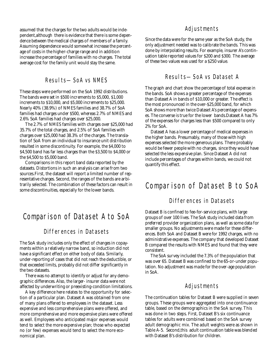assumed that the charges for the two adults would be independent,although there is evidence that there is some dependence between the medical charges of members of a family. Assuming dependence would somewhat increase the percentage of costs in the higher-charge range and in addition increase the percentage of families with no charges. The total average cost for the family unit would stay the same.

#### Results—SoA vs NMES

These steps were performed on the SoA 1992 distributions. The bands were set in \$500 increments to \$5,000, \$1,000 increments to \$10,000, and \$5,000 increments to \$25,000. Nearly 40% (38.9%) of NMES families and 38.7% of SoA families had charges under \$500, whereas 2.7% of NMES and 2.6% SoA families had charges over \$25,000.

The 2.7% of NMES families with charges over \$25,000 had 35.7% of the total charges, and 2.5% of SoA families with charges over \$25,000 had 38.3% of the charges. The translation of SoA from an individual to insurance unit distribution resulted in some discontinuity. For example, the \$4,000 to \$4,500 band has far less charges than the \$3,500 to \$4,000 or the \$4,500 to \$5,000 band.

Comparisons in this report band data reported by the datasets. Distortions in such an analysis can arise from two sources.First, the dataset will report a limited number of representative charges. Second, the ranges of the bands are arbitrarily selected. The combination of these factors can result in some discontinuities, especially for the lower bands.

# Comparison of Dataset A to SoA

# Differences in Datasets

The SoA study includes only the effect of changes in copayments within a relatively narrow band, so induction did not have a significant effect on either body of data. Similarly, under-reporting of cases that did not reach the deductible, or that exceeded limits, probably did not differ significantly in the two datasets.

There was no attempt to identify or adjust for any demographic differences. Also, the larger- insurer data were not affected by underwriting or preexisting-condition limitations.

A key difference here relates to the opportunity for selection of a particular plan. Dataset A was obtained from one of many plans offered to employees in the dataset. Less expensive and less comprehensive plans were offered, and more comprehensive and more expensive plans were offered as well. Employees who anticipated major expenses would tend to select the more expensive plan; those who expected no (or few) expenses would tend to select the more economical plan.

### Adjustments

Since the data were for the same year as the SoA study, the only adjustment needed was to calibrate the bands. This was done by interpolating results. For example, insurer A's continuation table reported values for \$200 and \$300. The average of these two values was used for a \$250 value.

# Results—SoA vs Dataset A

The graph and chart show the percentage of total expense in the bands. SoA shows a greater percentage of the expenses than Dataset A in bands of \$10,000 or greater. The effect is the most pronounced in the over-\$25,000 band, for which SoA shows more than twice Dataset A's percentage of expenses. The converse is true for the lower bands.Dataset A has 7% of the expenses for charges less than \$500 compared to only 2% for SoA.

Dataset A has a lower percentage of medical expenses in the higher bands. Presumably, many of those with high expenses selected the more generous plans. There probably would be fewer people with no charges, since they would have selected the less expensive plan. Since Dataset A did not include percentages of charges within bands, we could not quantify this effect.

# Comparison of Dataset B to SoA

# Differences in Datasets

Dataset B is confined to fee-for-service plans, with large groups of over 100 lives. The SoA study included data from preferred provider organization plans, as well as some data for smaller groups. No adjustments were made for these differences. Both SoA and Dataset B were for 1992 charges, with no administrative expenses. The company that developed Dataset B compared the results with NMES and found that they were consistent.

The SoA survey included the 7.3% of the population that was over 65. Dataset B was confined to the 65-or-under population. No adjustment was made for the over-age population in SoA.

## Adjustments

The continuation tables for Dataset B were supplied in seven groups. These groups were aggregated into one continuance table, based on the demographics in the SoA survey. This was done in two steps. First, Dataset B's six continuance tables for adults were combined based on the SoA survey adult demographic mix. The adult weights were as shown in Table A-5. Second, this adult continuation table was blended with Dataset B's distribution for children.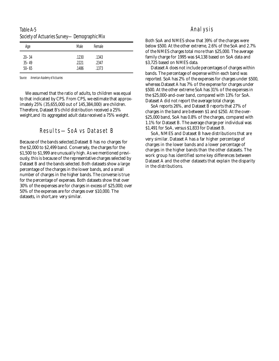Table A-5 Society of Actuaries Survey—Demographic Mix

| Age       | Male  | Female |  |
|-----------|-------|--------|--|
| $20 - 34$ | .1230 | .1343  |  |
| $35 - 49$ | .2221 | .2347  |  |
| $50 - 65$ | .1486 | .1373  |  |

*Source: American Academy of Actuaries*

We assumed that the ratio of adults, to children was equal to that indicated by CPS. From CPS, we estimate that approximately 25% (35,655,000 out of 145,384,000) are children. Therefore, Dataset B's child distribution received a 25% weight,and its aggregated adult data received a 75% weight.

# Results—SoA vs Dataset B

Because of the bands selected,Dataset B has no charges for the \$2,000 to \$2,499 band. Conversely, the charges for the \$1,500 to \$1,999 are unusually high. As we mentioned previously, this is because of the representative charges selected by Dataset B and the bands selected. Both datasets show a large percentage of the charges in the lower bands, and a small number of charges in the higher bands. The converse is true for the percentage of expenses. Both datasets show that over 30% of the expenses are for charges in excess of \$25,000; over 50% of the expenses are for charges over \$10,000. The datasets, in short,are very similar.

#### Analysis

Both SoA and NMES show that 39% of the charges were below \$500. At the other extreme, 2.6% of the SoA and 2.7% of the NMES charges total more than \$25,000. The average family charge for 1995 was \$4,138 based on SoA data and \$3,725 based on NMES data.

Dataset A does not include percentages of charges within bands. The percentage of expense within each band was reported. SoA has 2% of the expenses for charges under \$500, whereas Dataset A has 7% of the expense for charges under \$500. At the other extreme SoA has 31% of the expenses in the \$25,000-and-over band, compared with 13% for SoA. Dataset A did not report the average total charge.

SoA reports 26%, and Dataset B reports that 27% of charges in the band are between \$1 and \$250. At the over- \$25,000 band, SoA has 0.8% of the charges, compared with 1.1% for Dataset B. The average charge per individual was \$1,491 for SoA, versus \$1,833 for Dataset B.

SoA, NMES and Dataset B have distributions that are very similar. Dataset A has a far higher percentage of charges in the lower bands and a lower percentage of charges in the higher bands than the other datasets. The work group has identified some key differences between Dataset A and the other datasets that explain the disparity in the distributions.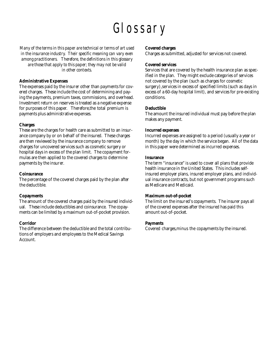# Glossary

*Many of the terms in this paper are technical or terms of art used in the insurance industry. Their specific meaning can vary even among practitioners. Therefore, the definitions in this glossary are those that apply to this paper; they may not be valid in other contexts.*

#### **Administrative Expenses**

The expenses paid by the insurer other than payments for covered charges. These include the cost of determining and paying the payments, premium taxes, commissions, and overhead. Investment return on reserves is treated as a negative expense for purposes of this paper. Therefore,the total premium is payments plus administrative expenses.

#### **Charges**

These are the charges for health care as submitted to an insurance company by or on behalf of the insured. These charges are then reviewed by the insurance company to remove charges for uncovered services such as cosmetic surgery or hospital days in excess of the plan limit. The copayment formulas are then applied to the covered charges to determine payments by the insurer.

#### **Coinsurance**

The percentage of the covered charges paid by the plan after the deductible.

#### **Copayments**

The amount of the covered charges paid by the insured individual. These include deductibles and coinsurance. The copayments can be limited by a maximum out-of-pocket provision.

#### **Corridor**

The difference between the deductible and the total contributions of employers and employees to the Medical Savings Account.

#### **Covered charges**

Charges as submitted, adjusted for services not covered.

#### **Covered services**

Services that are covered by the health insurance plan as specified in the plan. They might exclude categories of services not covered by the plan (such as charges for cosmetic surgery), services in excess of specified limits (such as days in excess of a 60-day hospital limit), and services for pre-existing conditions.

#### **Deductible**

The amount the insured individual must pay before the plan makes any payment.

#### **Incurred expenses**

Incurred expenses are assigned to a period (usually a year or month) by the day in which the service began. All of the data in this paper were determined as incurred expenses.

#### **Insurance**

The term "insurance" is used to cover all plans that provide health insurance in the United States. This includes selfinsured employer plans, insured employer plans, and individual insurance contracts, but not government programs such as Medicare and Medicaid.

#### **Maximum out-of-pocket**

The limit on the insured's copayments. The insurer pays all of the covered expenses after the insured has paid this amount out-of-pocket.

#### **Payments**

Covered charges,minus the copayments by the insured.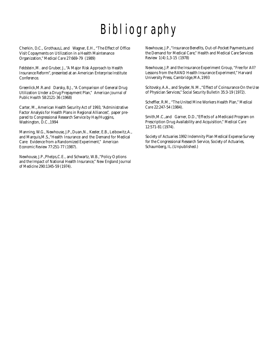# Bibliography

Cherkin, D.C., Grothaus,L.and Wagner, E.H., "The Effect of Office Visit Copayments on Utilization in a Health Maintenance Organization," *Medical Care* 27:669-79 (1989)

Feldstein,M. and Gruber, J., "A Major Risk Approach to Health Insurance Reform", presented at an American Enterprise Institute Conference.

Greenlick,M.R.and Darsky, B.J., "A Comparison of General Drug Utilization Under a Drug Prepayment Plan," *American Journal of Public Health* 58:2121-36 (1968)

Carter, M., American Health Security Act of 1993, "Administrative Factor Analysis for Health Plans in Regional Alliances", paper prepared to Congressional Research Service by Hay/Huggins, Washington, D.C.,1994

Manning, W.G., Newhouse, J.P.,Duan,N., Keeler, E.B., Leibowitz,A., and Marquis,M.S.,"Health Insurance and the Demand for Medical Care: Evidence from a Randomized Experiment," *American Economic Review* 77:251-77 (1987).

Newhouse, J.P.,Phelps,C.E., and Schwartz, W.B.,"Policy Options and the Impact of National Health Insurance," *New England Journal of Medicine* 290:1345-59 (1974).

Newhouse, J.P.,"Insurance Benefits, Out-of-Pocket Payments,and the Demand for Medical Care," Health and Medical Care Services Review 1(4):1,3-15 (1978)

Newhouse, J.P. and the Insurance Experiment Group, "Free for All? Lessons from the RAND Health Insurance Experiment," Harvard University Press, Cambridge,MA,1993

Scitovsky, A.A., and Snyder, N.M.,"Effect of Coinsurance On the Use of Physician Services," *Social Security Bulletin* 35:3-19 (1972).

Scheffler, R.M., "The United Mine Workers Health Plan," *Medical Care* 22:247-54 (1984).

Smith, M.C., and Garner, D.D., "Effects of a Medicaid Program on Prescription Drug Availability and Acquisition," *Medical Care* 12:571-81 (1974).

Society of Actuaries 1992 Indemnity Plan Medical Expense Survey for the Congressional Research Service, Society of Actuaries, Schaumberg, IL.(Unpublished.)